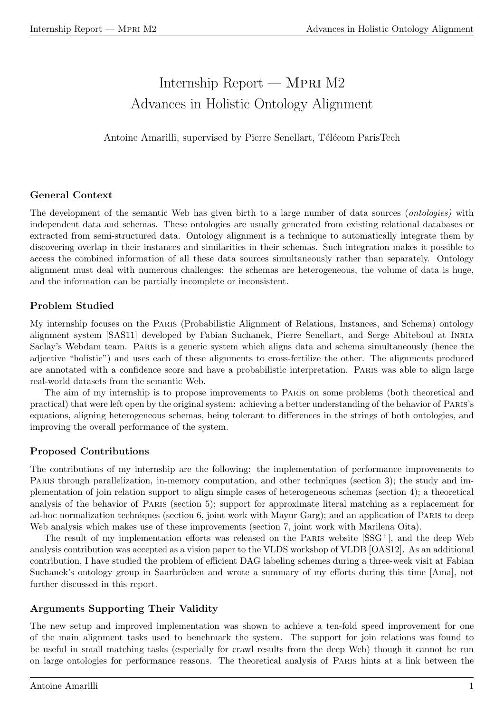# Internship Report — Mpri M2 Advances in Holistic Ontology Alignment

Antoine Amarilli, supervised by Pierre Senellart, Télécom ParisTech

# General Context

The development of the semantic Web has given birth to a large number of data sources (*ontologies*) with independent data and schemas. These ontologies are usually generated from existing relational databases or extracted from semi-structured data. Ontology alignment is a technique to automatically integrate them by discovering overlap in their instances and similarities in their schemas. Such integration makes it possible to access the combined information of all these data sources simultaneously rather than separately. Ontology alignment must deal with numerous challenges: the schemas are heterogeneous, the volume of data is huge, and the information can be partially incomplete or inconsistent.

# Problem Studied

My internship focuses on the Paris (Probabilistic Alignment of Relations, Instances, and Schema) ontology alignment system [SAS11] developed by Fabian Suchanek, Pierre Senellart, and Serge Abiteboul at Inria Saclay's Webdam team. PARIS is a generic system which aligns data and schema simultaneously (hence the adjective "holistic") and uses each of these alignments to cross-fertilize the other. The alignments produced are annotated with a confidence score and have a probabilistic interpretation. Paris was able to align large real-world datasets from the semantic Web.

The aim of my internship is to propose improvements to Paris on some problems (both theoretical and practical) that were left open by the original system: achieving a better understanding of the behavior of Paris's equations, aligning heterogeneous schemas, being tolerant to differences in the strings of both ontologies, and improving the overall performance of the system.

# Proposed Contributions

The contributions of my internship are the following: the implementation of performance improvements to PARIS through parallelization, in-memory computation, and other techniques (section 3); the study and implementation of join relation support to align simple cases of heterogeneous schemas (section 4); a theoretical analysis of the behavior of Paris (section 5); support for approximate literal matching as a replacement for ad-hoc normalization techniques (section 6, joint work with Mayur Garg); and an application of PARIS to deep Web analysis which makes use of these improvements (section 7, joint work with Marilena Oita).

The result of my implementation efforts was released on the PARIS website  $[SSG^+]$ , and the deep Web analysis contribution was accepted as a vision paper to the VLDS workshop of VLDB [OAS12]. As an additional contribution, I have studied the problem of efficient DAG labeling schemes during a three-week visit at Fabian Suchanek's ontology group in Saarbrücken and wrote a summary of my efforts during this time [Ama], not further discussed in this report.

# Arguments Supporting Their Validity

The new setup and improved implementation was shown to achieve a ten-fold speed improvement for one of the main alignment tasks used to benchmark the system. The support for join relations was found to be useful in small matching tasks (especially for crawl results from the deep Web) though it cannot be run on large ontologies for performance reasons. The theoretical analysis of Paris hints at a link between the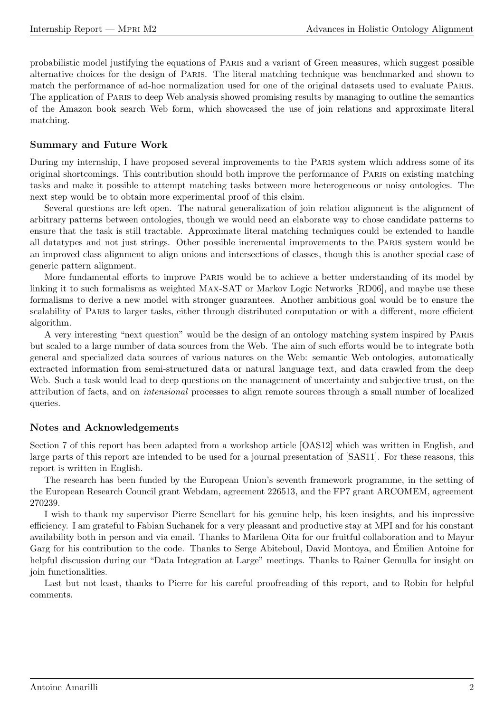probabilistic model justifying the equations of Paris and a variant of Green measures, which suggest possible alternative choices for the design of Paris. The literal matching technique was benchmarked and shown to match the performance of ad-hoc normalization used for one of the original datasets used to evaluate Paris. The application of Paris to deep Web analysis showed promising results by managing to outline the semantics of the Amazon book search Web form, which showcased the use of join relations and approximate literal matching.

### Summary and Future Work

During my internship, I have proposed several improvements to the Paris system which address some of its original shortcomings. This contribution should both improve the performance of Paris on existing matching tasks and make it possible to attempt matching tasks between more heterogeneous or noisy ontologies. The next step would be to obtain more experimental proof of this claim.

Several questions are left open. The natural generalization of join relation alignment is the alignment of arbitrary patterns between ontologies, though we would need an elaborate way to chose candidate patterns to ensure that the task is still tractable. Approximate literal matching techniques could be extended to handle all datatypes and not just strings. Other possible incremental improvements to the Paris system would be an improved class alignment to align unions and intersections of classes, though this is another special case of generic pattern alignment.

More fundamental efforts to improve Paris would be to achieve a better understanding of its model by linking it to such formalisms as weighted Max-SAT or Markov Logic Networks [RD06], and maybe use these formalisms to derive a new model with stronger guarantees. Another ambitious goal would be to ensure the scalability of Paris to larger tasks, either through distributed computation or with a different, more efficient algorithm.

A very interesting "next question" would be the design of an ontology matching system inspired by Paris but scaled to a large number of data sources from the Web. The aim of such efforts would be to integrate both general and specialized data sources of various natures on the Web: semantic Web ontologies, automatically extracted information from semi-structured data or natural language text, and data crawled from the deep Web. Such a task would lead to deep questions on the management of uncertainty and subjective trust, on the attribution of facts, and on intensional processes to align remote sources through a small number of localized queries.

### Notes and Acknowledgements

Section 7 of this report has been adapted from a workshop article [OAS12] which was written in English, and large parts of this report are intended to be used for a journal presentation of [SAS11]. For these reasons, this report is written in English.

The research has been funded by the European Union's seventh framework programme, in the setting of the European Research Council grant Webdam, agreement 226513, and the FP7 grant ARCOMEM, agreement 270239.

I wish to thank my supervisor Pierre Senellart for his genuine help, his keen insights, and his impressive efficiency. I am grateful to Fabian Suchanek for a very pleasant and productive stay at MPI and for his constant availability both in person and via email. Thanks to Marilena Oita for our fruitful collaboration and to Mayur Garg for his contribution to the code. Thanks to Serge Abiteboul, David Montoya, and Emilien Antoine for ´ helpful discussion during our "Data Integration at Large" meetings. Thanks to Rainer Gemulla for insight on join functionalities.

Last but not least, thanks to Pierre for his careful proofreading of this report, and to Robin for helpful comments.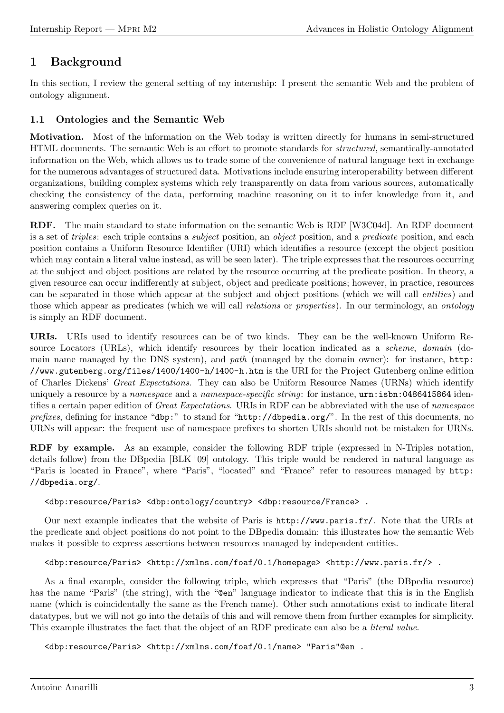# 1 Background

In this section, I review the general setting of my internship: I present the semantic Web and the problem of ontology alignment.

# 1.1 Ontologies and the Semantic Web

Motivation. Most of the information on the Web today is written directly for humans in semi-structured HTML documents. The semantic Web is an effort to promote standards for structured, semantically-annotated information on the Web, which allows us to trade some of the convenience of natural language text in exchange for the numerous advantages of structured data. Motivations include ensuring interoperability between different organizations, building complex systems which rely transparently on data from various sources, automatically checking the consistency of the data, performing machine reasoning on it to infer knowledge from it, and answering complex queries on it.

RDF. The main standard to state information on the semantic Web is RDF [W3C04d]. An RDF document is a set of *triples*: each triple contains a *subject* position, an *object* position, and a *predicate* position, and each position contains a Uniform Resource Identifier (URI) which identifies a resource (except the object position which may contain a literal value instead, as will be seen later). The triple expresses that the resources occurring at the subject and object positions are related by the resource occurring at the predicate position. In theory, a given resource can occur indifferently at subject, object and predicate positions; however, in practice, resources can be separated in those which appear at the subject and object positions (which we will call entities) and those which appear as predicates (which we will call *relations* or *properties*). In our terminology, an *ontology* is simply an RDF document.

URIs. URIs used to identify resources can be of two kinds. They can be the well-known Uniform Resource Locators (URLs), which identify resources by their location indicated as a *scheme*, domain (domain name managed by the DNS system), and path (managed by the domain owner): for instance, http: //www.gutenberg.org/files/1400/1400-h/1400-h.htm is the URI for the Project Gutenberg online edition of Charles Dickens' Great Expectations. They can also be Uniform Resource Names (URNs) which identify uniquely a resource by a *namespace* and a *namespace-specific string*: for instance, urn:isbn:0486415864 identifies a certain paper edition of Great Expectations. URIs in RDF can be abbreviated with the use of namespace prefixes, defining for instance "dbp:" to stand for "http://dbpedia.org/". In the rest of this documents, no URNs will appear: the frequent use of namespace prefixes to shorten URIs should not be mistaken for URNs.

RDF by example. As an example, consider the following RDF triple (expressed in N-Triples notation, details follow) from the DB pedia  $[BLK^+09]$  ontology. This triple would be rendered in natural language as "Paris is located in France", where "Paris", "located" and "France" refer to resources managed by http: //dbpedia.org/.

### <dbp:resource/Paris> <dbp:ontology/country> <dbp:resource/France> .

Our next example indicates that the website of Paris is http://www.paris.fr/. Note that the URIs at the predicate and object positions do not point to the DBpedia domain: this illustrates how the semantic Web makes it possible to express assertions between resources managed by independent entities.

### <dbp:resource/Paris> <http://xmlns.com/foaf/0.1/homepage> <http://www.paris.fr/> .

As a final example, consider the following triple, which expresses that "Paris" (the DBpedia resource) has the name "Paris" (the string), with the "@en" language indicator to indicate that this is in the English name (which is coincidentally the same as the French name). Other such annotations exist to indicate literal datatypes, but we will not go into the details of this and will remove them from further examples for simplicity. This example illustrates the fact that the object of an RDF predicate can also be a literal value.

<dbp:resource/Paris> <http://xmlns.com/foaf/0.1/name> "Paris"@en .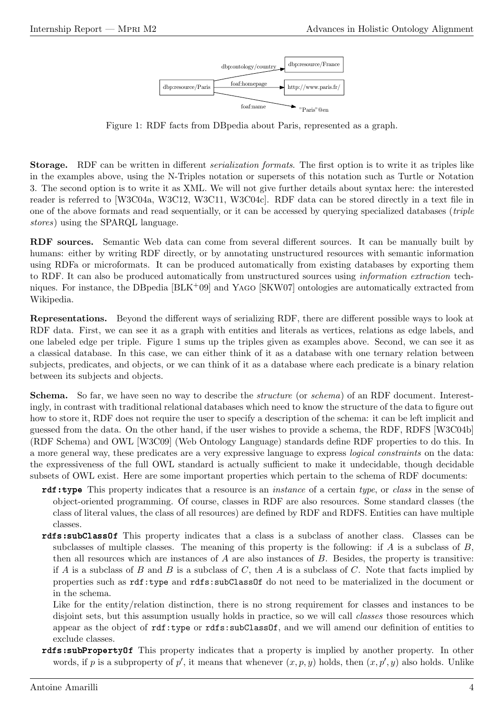

Figure 1: RDF facts from DBpedia about Paris, represented as a graph.

Storage. RDF can be written in different serialization formats. The first option is to write it as triples like in the examples above, using the N-Triples notation or supersets of this notation such as Turtle or Notation 3. The second option is to write it as XML. We will not give further details about syntax here: the interested reader is referred to [W3C04a, W3C12, W3C11, W3C04c]. RDF data can be stored directly in a text file in one of the above formats and read sequentially, or it can be accessed by querying specialized databases (triple stores) using the SPARQL language.

RDF sources. Semantic Web data can come from several different sources. It can be manually built by humans: either by writing RDF directly, or by annotating unstructured resources with semantic information using RDFa or microformats. It can be produced automatically from existing databases by exporting them to RDF. It can also be produced automatically from unstructured sources using information extraction techniques. For instance, the DBpedia [BLK+09] and Yago [SKW07] ontologies are automatically extracted from Wikipedia.

Representations. Beyond the different ways of serializing RDF, there are different possible ways to look at RDF data. First, we can see it as a graph with entities and literals as vertices, relations as edge labels, and one labeled edge per triple. Figure 1 sums up the triples given as examples above. Second, we can see it as a classical database. In this case, we can either think of it as a database with one ternary relation between subjects, predicates, and objects, or we can think of it as a database where each predicate is a binary relation between its subjects and objects.

Schema. So far, we have seen no way to describe the *structure* (or *schema*) of an RDF document. Interestingly, in contrast with traditional relational databases which need to know the structure of the data to figure out how to store it, RDF does not require the user to specify a description of the schema: it can be left implicit and guessed from the data. On the other hand, if the user wishes to provide a schema, the RDF, RDFS [W3C04b] (RDF Schema) and OWL [W3C09] (Web Ontology Language) standards define RDF properties to do this. In a more general way, these predicates are a very expressive language to express logical constraints on the data: the expressiveness of the full OWL standard is actually sufficient to make it undecidable, though decidable subsets of OWL exist. Here are some important properties which pertain to the schema of RDF documents:

- rdf:type This property indicates that a resource is an instance of a certain type, or class in the sense of object-oriented programming. Of course, classes in RDF are also resources. Some standard classes (the class of literal values, the class of all resources) are defined by RDF and RDFS. Entities can have multiple classes.
- rdfs:subClassOf This property indicates that a class is a subclass of another class. Classes can be subclasses of multiple classes. The meaning of this property is the following: if A is a subclass of  $B$ , then all resources which are instances of  $A$  are also instances of  $B$ . Besides, the property is transitive: if A is a subclass of B and B is a subclass of C, then A is a subclass of C. Note that facts implied by properties such as rdf:type and rdfs:subClassOf do not need to be materialized in the document or in the schema.

Like for the entity/relation distinction, there is no strong requirement for classes and instances to be disjoint sets, but this assumption usually holds in practice, so we will call *classes* those resources which appear as the object of rdf:type or rdfs:subClassOf, and we will amend our definition of entities to exclude classes.

rdfs:subPropertyOf This property indicates that a property is implied by another property. In other words, if p is a subproperty of p', it means that whenever  $(x, p, y)$  holds, then  $(x, p', y)$  also holds. Unlike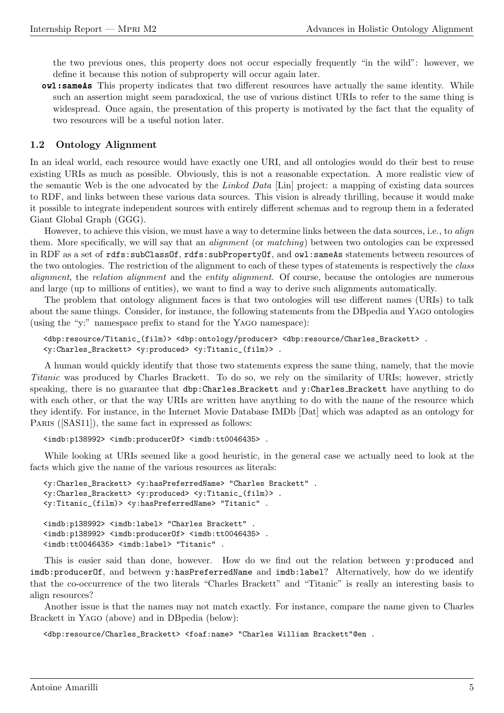the two previous ones, this property does not occur especially frequently "in the wild": however, we define it because this notion of subproperty will occur again later.

owl:sameAs This property indicates that two different resources have actually the same identity. While such an assertion might seem paradoxical, the use of various distinct URIs to refer to the same thing is widespread. Once again, the presentation of this property is motivated by the fact that the equality of two resources will be a useful notion later.

#### 1.2 Ontology Alignment

In an ideal world, each resource would have exactly one URI, and all ontologies would do their best to reuse existing URIs as much as possible. Obviously, this is not a reasonable expectation. A more realistic view of the semantic Web is the one advocated by the Linked Data [Lin] project: a mapping of existing data sources to RDF, and links between these various data sources. This vision is already thrilling, because it would make it possible to integrate independent sources with entirely different schemas and to regroup them in a federated Giant Global Graph (GGG).

However, to achieve this vision, we must have a way to determine links between the data sources, i.e., to *align* them. More specifically, we will say that an alignment (or matching) between two ontologies can be expressed in RDF as a set of rdfs:subClassOf, rdfs:subPropertyOf, and owl:sameAs statements between resources of the two ontologies. The restriction of the alignment to each of these types of statements is respectively the class alignment, the relation alignment and the entity alignment. Of course, because the ontologies are numerous and large (up to millions of entities), we want to find a way to derive such alignments automatically.

The problem that ontology alignment faces is that two ontologies will use different names (URIs) to talk about the same things. Consider, for instance, the following statements from the DBpedia and Yago ontologies (using the "y:" namespace prefix to stand for the Yago namespace):

```
<dbp:resource/Titanic_(film)> <dbp:ontology/producer> <dbp:resource/Charles_Brackett> .
<y:Charles_Brackett> <y:produced> <y:Titanic_(film)> .
```
A human would quickly identify that those two statements express the same thing, namely, that the movie Titanic was produced by Charles Brackett. To do so, we rely on the similarity of URIs; however, strictly speaking, there is no guarantee that dbp:Charles Brackett and y:Charles Brackett have anything to do with each other, or that the way URIs are written have anything to do with the name of the resource which they identify. For instance, in the Internet Movie Database IMDb [Dat] which was adapted as an ontology for PARIS ([SAS11]), the same fact in expressed as follows:

```
<imdb:p138992> <imdb:producerOf> <imdb:tt0046435> .
```
While looking at URIs seemed like a good heuristic, in the general case we actually need to look at the facts which give the name of the various resources as literals:

```
<y:Charles_Brackett> <y:hasPreferredName> "Charles Brackett" .
<y:Charles_Brackett> <y:produced> <y:Titanic_(film)> .
<y:Titanic_(film)> <y:hasPreferredName> "Titanic" .
<imdb:p138992> <imdb:label> "Charles Brackett" .
<imdb:p138992> <imdb:producerOf> <imdb:tt0046435> .
<imdb:tt0046435> <imdb:label> "Titanic" .
```
This is easier said than done, however. How do we find out the relation between y:produced and imdb:producerOf, and between y:hasPreferredName and imdb:label? Alternatively, how do we identify that the co-occurrence of the two literals "Charles Brackett" and "Titanic" is really an interesting basis to align resources?

Another issue is that the names may not match exactly. For instance, compare the name given to Charles Brackett in Yago (above) and in DBpedia (below):

```
<dbp:resource/Charles_Brackett> <foaf:name> "Charles William Brackett"@en .
```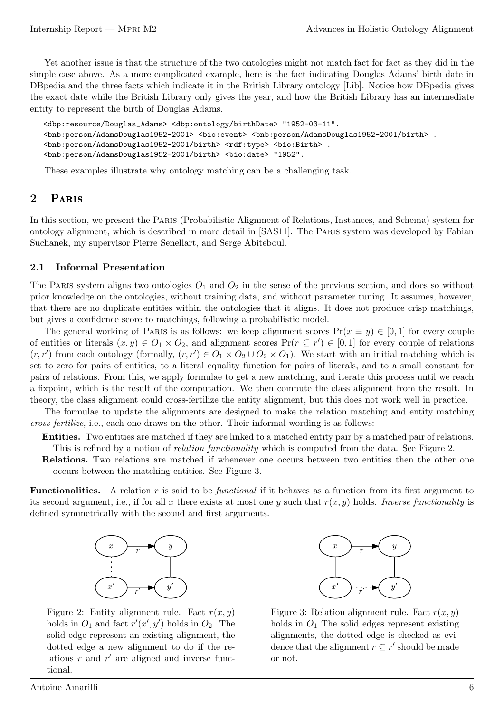Yet another issue is that the structure of the two ontologies might not match fact for fact as they did in the simple case above. As a more complicated example, here is the fact indicating Douglas Adams' birth date in DBpedia and the three facts which indicate it in the British Library ontology [Lib]. Notice how DBpedia gives the exact date while the British Library only gives the year, and how the British Library has an intermediate entity to represent the birth of Douglas Adams.

```
<dbp:resource/Douglas_Adams> <dbp:ontology/birthDate> "1952-03-11".
<bnb:person/AdamsDouglas1952-2001> <bio:event> <bnb:person/AdamsDouglas1952-2001/birth> .
<bnb:person/AdamsDouglas1952-2001/birth> <rdf:type> <bio:Birth> .
<bnb:person/AdamsDouglas1952-2001/birth> <bio:date> "1952".
```
These examples illustrate why ontology matching can be a challenging task.

### 2 Paris

In this section, we present the Paris (Probabilistic Alignment of Relations, Instances, and Schema) system for ontology alignment, which is described in more detail in [SAS11]. The Paris system was developed by Fabian Suchanek, my supervisor Pierre Senellart, and Serge Abiteboul.

#### 2.1 Informal Presentation

The PARIS system aligns two ontologies  $O_1$  and  $O_2$  in the sense of the previous section, and does so without prior knowledge on the ontologies, without training data, and without parameter tuning. It assumes, however, that there are no duplicate entities within the ontologies that it aligns. It does not produce crisp matchings, but gives a confidence score to matchings, following a probabilistic model.

The general working of PARIS is as follows: we keep alignment scores  $Pr(x \equiv y) \in [0,1]$  for every couple of entities or literals  $(x, y) \in O_1 \times O_2$ , and alignment scores  $Pr(r \subseteq r') \in [0, 1]$  for every couple of relations  $(r, r')$  from each ontology (formally,  $(r, r') \in O_1 \times O_2 \cup O_2 \times O_1$ ). We start with an initial matching which is set to zero for pairs of entities, to a literal equality function for pairs of literals, and to a small constant for pairs of relations. From this, we apply formulae to get a new matching, and iterate this process until we reach a fixpoint, which is the result of the computation. We then compute the class alignment from the result. In theory, the class alignment could cross-fertilize the entity alignment, but this does not work well in practice.

The formulae to update the alignments are designed to make the relation matching and entity matching cross-fertilize, i.e., each one draws on the other. Their informal wording is as follows:

Entities. Two entities are matched if they are linked to a matched entity pair by a matched pair of relations. This is refined by a notion of *relation functionality* which is computed from the data. See Figure 2.

Relations. Two relations are matched if whenever one occurs between two entities then the other one occurs between the matching entities. See Figure 3.

**Functionalities.** A relation r is said to be *functional* if it behaves as a function from its first argument to its second argument, i.e., if for all x there exists at most one y such that  $r(x, y)$  holds. Inverse functionality is defined symmetrically with the second and first arguments.



Figure 2: Entity alignment rule. Fact  $r(x, y)$ holds in  $O_1$  and fact  $r'(x', y')$  holds in  $O_2$ . The solid edge represent an existing alignment, the dotted edge a new alignment to do if the relations  $r$  and  $r'$  are aligned and inverse functional.



Figure 3: Relation alignment rule. Fact  $r(x, y)$ holds in  $O<sub>1</sub>$  The solid edges represent existing alignments, the dotted edge is checked as evidence that the alignment  $r \subseteq r'$  should be made or not.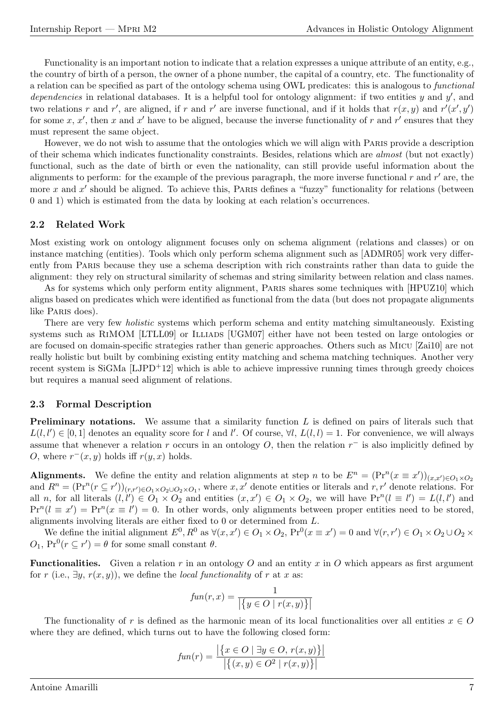Functionality is an important notion to indicate that a relation expresses a unique attribute of an entity, e.g., the country of birth of a person, the owner of a phone number, the capital of a country, etc. The functionality of a relation can be specified as part of the ontology schema using OWL predicates: this is analogous to functional dependencies in relational databases. It is a helpful tool for ontology alignment: if two entities  $y$  and  $y'$ , and two relations r and r', are aligned, if r and r' are inverse functional, and if it holds that  $r(x, y)$  and  $r'(x', y')$ for some x, x', then x and x' have to be aligned, because the inverse functionality of r and r' ensures that they must represent the same object.

However, we do not wish to assume that the ontologies which we will align with Paris provide a description of their schema which indicates functionality constraints. Besides, relations which are almost (but not exactly) functional, such as the date of birth or even the nationality, can still provide useful information about the alignments to perform: for the example of the previous paragraph, the more inverse functional  $r$  and  $r'$  are, the more x and  $x'$  should be aligned. To achieve this, PARIS defines a "fuzzy" functionality for relations (between 0 and 1) which is estimated from the data by looking at each relation's occurrences.

#### 2.2 Related Work

Most existing work on ontology alignment focuses only on schema alignment (relations and classes) or on instance matching (entities). Tools which only perform schema alignment such as [ADMR05] work very differently from Paris because they use a schema description with rich constraints rather than data to guide the alignment: they rely on structural similarity of schemas and string similarity between relation and class names.

As for systems which only perform entity alignment, PARIS shares some techniques with [HPUZ10] which aligns based on predicates which were identified as functional from the data (but does not propagate alignments like Paris does).

There are very few *holistic* systems which perform schema and entity matching simultaneously. Existing systems such as RIMOM [LTLL09] or ILLIADS [UGM07] either have not been tested on large ontologies or are focused on domain-specific strategies rather than generic approaches. Others such as Micu [Zai10] are not really holistic but built by combining existing entity matching and schema matching techniques. Another very recent system is SiGMa [LJPD+12] which is able to achieve impressive running times through greedy choices but requires a manual seed alignment of relations.

#### 2.3 Formal Description

**Preliminary notations.** We assume that a similarity function  $L$  is defined on pairs of literals such that  $L(l, l') \in [0, 1]$  denotes an equality score for l and l'. Of course,  $\forall l, L(l, l) = 1$ . For convenience, we will always assume that whenever a relation r occurs in an ontology  $O$ , then the relation  $r^-$  is also implicitly defined by O, where  $r^-(x, y)$  holds iff  $r(y, x)$  holds.

**Alignments.** We define the entity and relation alignments at step n to be  $E^n = (\Pr^n(x \equiv x'))_{(x,x')\in O_1\times O_2}$ and  $R^n = (\Pr^n(r \subseteq r'))_{(r,r') \in O_1 \times O_2 \cup O_2 \times O_1}$ , where x, x' denote entities or literals and r, r' denote relations. For all *n*, for all literals  $(l, l') \in O_1 \times O_2$  and entities  $(x, x') \in O_1 \times O_2$ , we will have  $\Pr^n(l \equiv l') = L(l, l')$  and  $Pr^{n}(l \equiv x') = Pr^{n}(x \equiv l') = 0.$  In other words, only alignments between proper entities need to be stored, alignments involving literals are either fixed to 0 or determined from L.

We define the initial alignment  $E^0, R^0$  as  $\forall (x, x') \in O_1 \times O_2$ ,  $Pr^0(x \equiv x') = 0$  and  $\forall (r, r') \in O_1 \times O_2 \cup O_2 \times$  $O_1$ ,  $Pr^0(r \subseteq r') = \theta$  for some small constant  $\theta$ .

**Functionalities.** Given a relation r in an ontology O and an entity x in O which appears as first argument for r (i.e.,  $\exists y, r(x, y)$ ), we define the *local functionality* of r at x as:

$$
fun(r, x) = \frac{1}{\left| \left\{ y \in O \mid r(x, y) \right\} \right|}
$$

The functionality of r is defined as the harmonic mean of its local functionalities over all entities  $x \in O$ where they are defined, which turns out to have the following closed form:

$$
fun(r) = \frac{|\{x \in O \mid \exists y \in O, r(x, y)\}|}{|\{(x, y) \in O^2 \mid r(x, y)\}|}
$$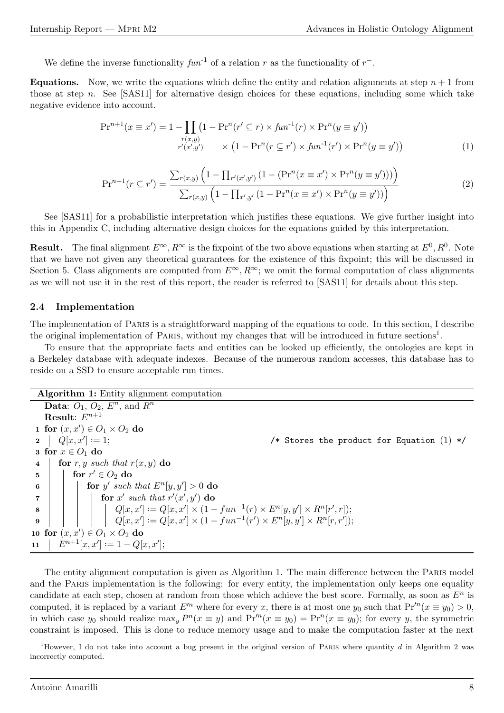We define the inverse functionality  $fun^{-1}$  of a relation r as the functionality of  $r^-$ .

**Equations.** Now, we write the equations which define the entity and relation alignments at step  $n + 1$  from those at step n. See  $[SAS11]$  for alternative design choices for these equations, including some which take negative evidence into account.

$$
\Pr^{n+1}(x \equiv x') = 1 - \prod_{\substack{r(x,y) \\ r'(x',y')}} (1 - \Pr^{n}(r' \subseteq r) \times fun^{1}(r) \times \Pr^{n}(y \equiv y'))
$$
  
 
$$
\times (1 - \Pr^{n}(r \subseteq r') \times fun^{1}(r') \times \Pr^{n}(y \equiv y'))
$$
 (1)

$$
\Pr^{n+1}(r \subseteq r') = \frac{\sum_{r(x,y)} \left(1 - \prod_{r'(x',y')}(1 - (\Pr^n(x \equiv x') \times \Pr^n(y \equiv y')))\right)}{\sum_{r(x,y)} \left(1 - \prod_{x',y'}(1 - \Pr^n(x \equiv x') \times \Pr^n(y \equiv y'))\right)}
$$
(2)

See [SAS11] for a probabilistic interpretation which justifies these equations. We give further insight into this in Appendix C, including alternative design choices for the equations guided by this interpretation.

**Result.** The final alignment  $E^{\infty}$ ,  $R^{\infty}$  is the fixpoint of the two above equations when starting at  $E^0$ ,  $R^0$ . Note that we have not given any theoretical guarantees for the existence of this fixpoint; this will be discussed in Section 5. Class alignments are computed from  $E^{\infty}, R^{\infty}$ ; we omit the formal computation of class alignments as we will not use it in the rest of this report, the reader is referred to [SAS11] for details about this step.

#### 2.4 Implementation

The implementation of Paris is a straightforward mapping of the equations to code. In this section, I describe the original implementation of PARIS, without my changes that will be introduced in future sections<sup>1</sup>.

To ensure that the appropriate facts and entities can be looked up efficiently, the ontologies are kept in a Berkeley database with adequate indexes. Because of the numerous random accesses, this database has to reside on a SSD to ensure acceptable run times.

Algorithm 1: Entity alignment computation Data:  $O_1$ ,  $O_2$ ,  $E^n$ , and  $R^n$ Result:  $E^{n+1}$ 1 for  $(x, x') \in O_1 \times O_2$  do  $2 \mid Q[x, x']$ : /\* Stores the product for Equation  $(1)$  \*/ 3 for  $x \in O_1$  do 4 for r, y such that  $r(x, y)$  do  $\begin{array}{|c|c|c|}\hline \hspace{0.2cm}5 & \hspace{0.2cm} & \textbf{for} \hspace{0.2cm} r' \in O_2 \textbf{ do} \hline \end{array}$ 6 for y' such that  $E^n[y, y'] > 0$  do  $\begin{array}{|c|c|c|c|}\n\hline\n\text{7} & & \text{if } \text{for } x' \text{ such that } r'(x',y') \text{ do} \end{array}$  $\begin{array}{|c|c|c|c|c|}\n\hline \bf 8 & & & \end{array} \begin{array}{|c|c|c|c|}\n\hline \begin{array}{|c|c|c|c|c|}\n\hline \begin{array}{|c|c|c|c|c|}\n\hline \begin{array}{|c|c|c|c|}\n\hline \begin{array}{|c|c|c|c|}\n\hline \begin{array}{|c|c|c|}\n\hline \begin{array}{|c|c|c|c|}\n\hline \begin{array}{|c|c|c|c|}\n\hline \begin{array}{|c|c|c|}\n\hline \begin{array}{|c|c|c|}\n\h$  $\mathbf{9} \quad \Big| \qquad \Big| \qquad \Big| \qquad \Big| \qquad \Big| Q[x,x'] := Q[x,x'] \times (1-fun^{-1}(r') \times E^n[y,y'] \times R^n[r,r']);$ 10 for  $(x, x') \in O_1 \times O_2$  do 11 |  $E^{n+1}[x, x'] := 1 - Q[x, x'];$ 

The entity alignment computation is given as Algorithm 1. The main difference between the Paris model and the PARIS implementation is the following: for every entity, the implementation only keeps one equality candidate at each step, chosen at random from those which achieve the best score. Formally, as soon as  $E<sup>n</sup>$  is computed, it is replaced by a variant  $E'^n$  where for every x, there is at most one  $y_0$  such that  $Pr'^n(x \equiv y_0) > 0$ , in which case  $y_0$  should realize  $\max_y P^n(x \equiv y)$  and  $\Pr'^n(x \equiv y_0) = \Pr^n(x \equiv y_0)$ ; for every y, the symmetric constraint is imposed. This is done to reduce memory usage and to make the computation faster at the next

<sup>&</sup>lt;sup>1</sup>However, I do not take into account a bug present in the original version of PARIS where quantity d in Algorithm 2 was incorrectly computed.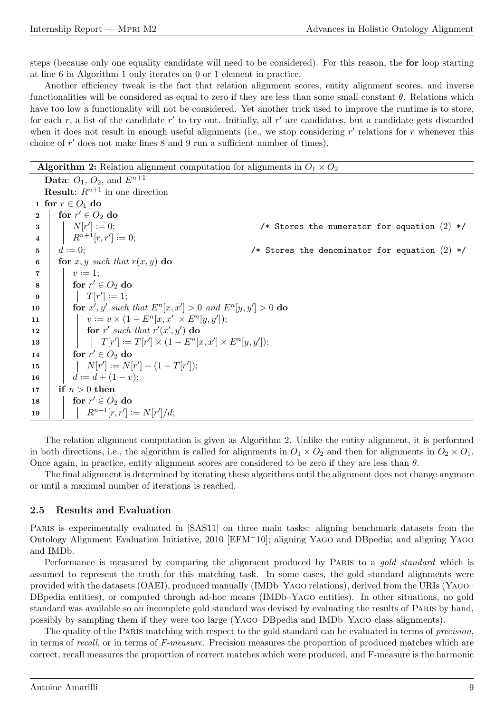steps (because only one equality candidate will need to be considered). For this reason, the for loop starting at line 6 in Algorithm 1 only iterates on 0 or 1 element in practice.

Another efficiency tweak is the fact that relation alignment scores, entity alignment scores, and inverse functionalities will be considered as equal to zero if they are less than some small constant  $\theta$ . Relations which have too low a functionality will not be considered. Yet another trick used to improve the runtime is to store, for each r, a list of the candidate r' to try out. Initially, all r' are candidates, but a candidate gets discarded when it does not result in enough useful alignments (i.e., we stop considering  $r'$  relations for r whenever this choice of  $r'$  does not make lines  $8$  and  $9$  run a sufficient number of times).

**Algorithm 2:** Relation alignment computation for alignments in  $O_1 \times O_2$ 

**Data:**  $O_1$ ,  $O_2$ , and  $E^{n+1}$ **Result:**  $R^{n+1}$  in one direction 1 for  $r \in O_1$  do  $2 \parallel \text{ for } r' \in O_2 \text{ do}$  $\mathbf{3}$  | |  $N[r']$  : /\* Stores the numerator for equation  $(2)$  \*/  $4 \mid R^{n+1}[r,r'] := 0;$  $5 \mid d := 0;$ /\* Stores the denominator for equation  $(2)$  \*/ 6 **for** x, y such that  $r(x, y)$  do  $\begin{array}{|c|c|c|}\n\hline\n\end{array}$   $\begin{array}{|c|c|c|}\n\hline\nv := 1;\n\end{array}$  $\begin{array}{|c|c|c|}\n\hline\n8 & \text{for}\,\,r' \in O_2\mathrm{\;do} \end{array}$  $\mathsf{9} \quad | \quad | \quad T[r'] := 1;$ 10 for  $x', y'$  such that  $E^n[x, x'] > 0$  and  $E^n[y, y'] > 0$  do 11  $\vert v := v \times (1 - E^n[x, x'] \times E^n[y, y'])$ ; 12 **for** r' such that  $r'(x', y')$  do  $\begin{array}{|c|c|c|c|c|}\hline \text{\bf{13}} & & \end{array} \begin{array}{|c|c|c|c|}\hline \begin{array}{|c|c|c|c|}\hline \begin{array}{|c|c|c|c|}\hline \begin{array}{|c|c|c|}\hline \begin{array}{|c|c|c|}\hline \begin{array}{|c|c|c|}\hline \begin{array}{|c|c|c|}\hline \begin{array}{|c|c|c|}\hline \begin{array}{|c|c|c|}\hline \begin{array}{|c|c|c|}\hline \begin{array}{|c|c|c|}\hline \begin{array}{|c|c|c|}\hline$ 14  $\Big|$  for  $r' \in O_2$  do 15  $\vert$   $\vert$   $N[r'] := N[r'] + (1 - T[r']);$ 16  $\vert d := d + (1 - v);$ 17 if  $n > 0$  then  $\begin{array}{c|c} \textbf{18} & \textbf{18} & \textbf{for} \ r' \in O_2 \ \textbf{do} \end{array}$ <sup>19</sup> Rn+1[r, r<sup>0</sup> ] · ·= N[r 0 ]/d;

The relation alignment computation is given as Algorithm 2. Unlike the entity alignment, it is performed in both directions, i.e., the algorithm is called for alignments in  $O_1 \times O_2$  and then for alignments in  $O_2 \times O_1$ . Once again, in practice, entity alignment scores are considered to be zero if they are less than  $\theta$ .

The final alignment is determined by iterating these algorithms until the alignment does not change anymore or until a maximal number of iterations is reached.

#### 2.5 Results and Evaluation

PARIS is experimentally evaluated in [SAS11] on three main tasks: aligning benchmark datasets from the Ontology Alignment Evaluation Initiative, 2010 [EFM+10]; aligning Yago and DBpedia; and aligning Yago and IMDb.

Performance is measured by comparing the alignment produced by PARIS to a *gold standard* which is assumed to represent the truth for this matching task. In some cases, the gold standard alignments were provided with the datasets (OAEI), produced manually (IMDb–Yago relations), derived from the URIs (Yago– DBpedia entities), or computed through ad-hoc means (IMDb–Yago entities). In other situations, no gold standard was available so an incomplete gold standard was devised by evaluating the results of Paris by hand, possibly by sampling them if they were too large (Yago–DBpedia and IMDb–Yago class alignments).

The quality of the PARIS matching with respect to the gold standard can be evaluated in terms of *precision*, in terms of recall, or in terms of F-measure. Precision measures the proportion of produced matches which are correct, recall measures the proportion of correct matches which were produced, and F-measure is the harmonic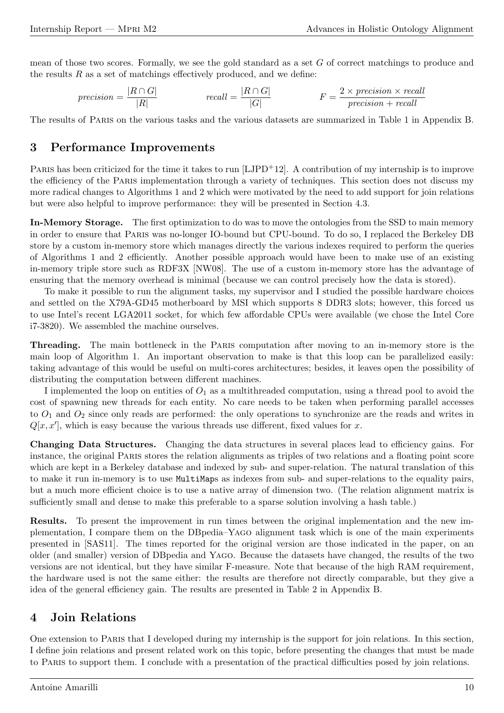mean of those two scores. Formally, we see the gold standard as a set  $G$  of correct matchings to produce and the results  $R$  as a set of matchings effectively produced, and we define:

$$
precision = \frac{|R \cap G|}{|R|} \qquad \qquad recall = \frac{|R \cap G|}{|G|} \qquad \qquad F = \frac{2 \times precision \times recall}{precision + recall}
$$

The results of Paris on the various tasks and the various datasets are summarized in Table 1 in Appendix B.

# 3 Performance Improvements

PARIS has been criticized for the time it takes to run  $[LJPD+12]$ . A contribution of my internship is to improve the efficiency of the Paris implementation through a variety of techniques. This section does not discuss my more radical changes to Algorithms 1 and 2 which were motivated by the need to add support for join relations but were also helpful to improve performance: they will be presented in Section 4.3.

In-Memory Storage. The first optimization to do was to move the ontologies from the SSD to main memory in order to ensure that Paris was no-longer IO-bound but CPU-bound. To do so, I replaced the Berkeley DB store by a custom in-memory store which manages directly the various indexes required to perform the queries of Algorithms 1 and 2 efficiently. Another possible approach would have been to make use of an existing in-memory triple store such as RDF3X [NW08]. The use of a custom in-memory store has the advantage of ensuring that the memory overhead is minimal (because we can control precisely how the data is stored).

To make it possible to run the alignment tasks, my supervisor and I studied the possible hardware choices and settled on the X79A-GD45 motherboard by MSI which supports 8 DDR3 slots; however, this forced us to use Intel's recent LGA2011 socket, for which few affordable CPUs were available (we chose the Intel Core i7-3820). We assembled the machine ourselves.

Threading. The main bottleneck in the Paris computation after moving to an in-memory store is the main loop of Algorithm 1. An important observation to make is that this loop can be parallelized easily: taking advantage of this would be useful on multi-cores architectures; besides, it leaves open the possibility of distributing the computation between different machines.

I implemented the loop on entities of  $O_1$  as a multithreaded computation, using a thread pool to avoid the cost of spawning new threads for each entity. No care needs to be taken when performing parallel accesses to  $O_1$  and  $O_2$  since only reads are performed: the only operations to synchronize are the reads and writes in  $Q[x, x']$ , which is easy because the various threads use different, fixed values for x.

Changing Data Structures. Changing the data structures in several places lead to efficiency gains. For instance, the original Paris stores the relation alignments as triples of two relations and a floating point score which are kept in a Berkeley database and indexed by sub- and super-relation. The natural translation of this to make it run in-memory is to use MultiMaps as indexes from sub- and super-relations to the equality pairs, but a much more efficient choice is to use a native array of dimension two. (The relation alignment matrix is sufficiently small and dense to make this preferable to a sparse solution involving a hash table.)

Results. To present the improvement in run times between the original implementation and the new implementation, I compare them on the DBpedia–Yago alignment task which is one of the main experiments presented in [SAS11]. The times reported for the original version are those indicated in the paper, on an older (and smaller) version of DBpedia and Yago. Because the datasets have changed, the results of the two versions are not identical, but they have similar F-measure. Note that because of the high RAM requirement, the hardware used is not the same either: the results are therefore not directly comparable, but they give a idea of the general efficiency gain. The results are presented in Table 2 in Appendix B.

# 4 Join Relations

One extension to Paris that I developed during my internship is the support for join relations. In this section, I define join relations and present related work on this topic, before presenting the changes that must be made to Paris to support them. I conclude with a presentation of the practical difficulties posed by join relations.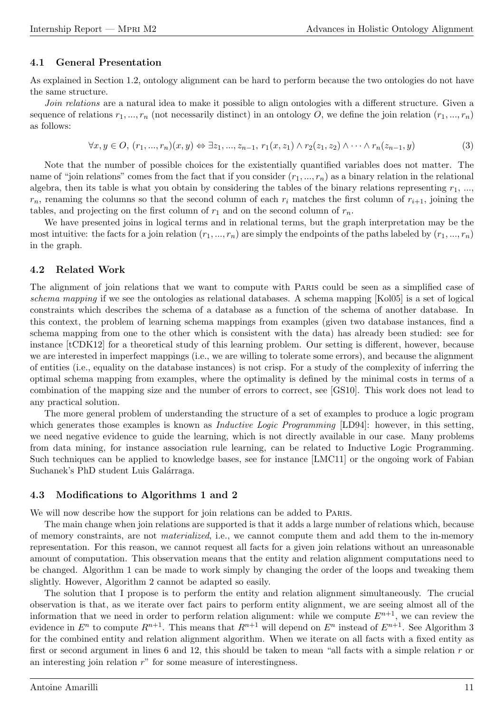#### 4.1 General Presentation

As explained in Section 1.2, ontology alignment can be hard to perform because the two ontologies do not have the same structure.

Join relations are a natural idea to make it possible to align ontologies with a different structure. Given a sequence of relations  $r_1, ..., r_n$  (not necessarily distinct) in an ontology O, we define the join relation  $(r_1, ..., r_n)$ as follows:

$$
\forall x, y \in O, (r_1, \ldots, r_n)(x, y) \Leftrightarrow \exists z_1, \ldots, z_{n-1}, r_1(x, z_1) \wedge r_2(z_1, z_2) \wedge \cdots \wedge r_n(z_{n-1}, y) \tag{3}
$$

Note that the number of possible choices for the existentially quantified variables does not matter. The name of "join relations" comes from the fact that if you consider  $(r_1, ..., r_n)$  as a binary relation in the relational algebra, then its table is what you obtain by considering the tables of the binary relations representing  $r_1, \ldots$ ,  $r_n$ , renaming the columns so that the second column of each  $r_i$  matches the first column of  $r_{i+1}$ , joining the tables, and projecting on the first column of  $r_1$  and on the second column of  $r_n$ .

We have presented joins in logical terms and in relational terms, but the graph interpretation may be the most intuitive: the facts for a join relation  $(r_1, ..., r_n)$  are simply the endpoints of the paths labeled by  $(r_1, ..., r_n)$ in the graph.

#### 4.2 Related Work

The alignment of join relations that we want to compute with Paris could be seen as a simplified case of schema mapping if we see the ontologies as relational databases. A schema mapping [Kol05] is a set of logical constraints which describes the schema of a database as a function of the schema of another database. In this context, the problem of learning schema mappings from examples (given two database instances, find a schema mapping from one to the other which is consistent with the data) has already been studied: see for instance [tCDK12] for a theoretical study of this learning problem. Our setting is different, however, because we are interested in imperfect mappings (i.e., we are willing to tolerate some errors), and because the alignment of entities (i.e., equality on the database instances) is not crisp. For a study of the complexity of inferring the optimal schema mapping from examples, where the optimality is defined by the minimal costs in terms of a combination of the mapping size and the number of errors to correct, see [GS10]. This work does not lead to any practical solution.

The more general problem of understanding the structure of a set of examples to produce a logic program which generates those examples is known as *Inductive Logic Programming* [LD94]: however, in this setting, we need negative evidence to guide the learning, which is not directly available in our case. Many problems from data mining, for instance association rule learning, can be related to Inductive Logic Programming. Such techniques can be applied to knowledge bases, see for instance [LMC11] or the ongoing work of Fabian Suchanek's PhD student Luis Galárraga.

#### 4.3 Modifications to Algorithms 1 and 2

We will now describe how the support for join relations can be added to Paris.

The main change when join relations are supported is that it adds a large number of relations which, because of memory constraints, are not materialized, i.e., we cannot compute them and add them to the in-memory representation. For this reason, we cannot request all facts for a given join relations without an unreasonable amount of computation. This observation means that the entity and relation alignment computations need to be changed. Algorithm 1 can be made to work simply by changing the order of the loops and tweaking them slightly. However, Algorithm 2 cannot be adapted so easily.

The solution that I propose is to perform the entity and relation alignment simultaneously. The crucial observation is that, as we iterate over fact pairs to perform entity alignment, we are seeing almost all of the information that we need in order to perform relation alignment: while we compute  $E^{n+1}$ , we can review the evidence in  $E^n$  to compute  $R^{n+1}$ . This means that  $R^{n+1}$  will depend on  $E^n$  instead of  $E^{n+1}$ . See Algorithm 3 for the combined entity and relation alignment algorithm. When we iterate on all facts with a fixed entity as first or second argument in lines 6 and 12, this should be taken to mean "all facts with a simple relation  $r$  or an interesting join relation  $r$ " for some measure of interestingness.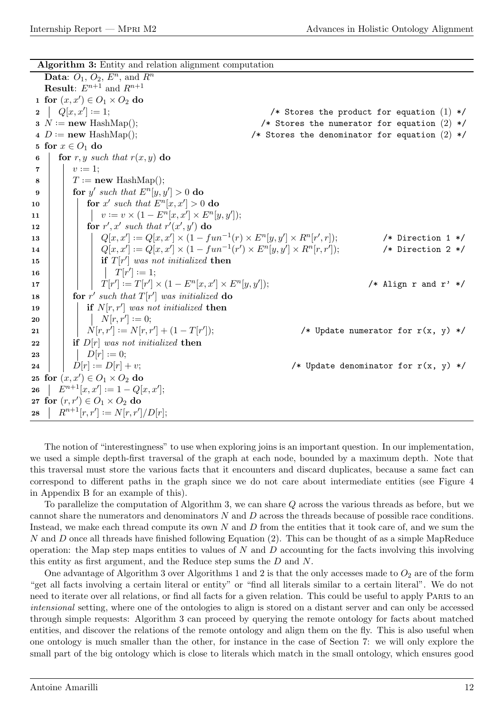Algorithm 3: Entity and relation alignment computation

Data:  $O_1$ ,  $O_2$ ,  $E^n$ , and  $R^n$ **Result:**  $E^{n+1}$  and  $R^{n+1}$ 1 for  $(x, x') \in O_1 \times O_2$  do  $2 \mid Q[x, x']$ : /\* Stores the product for equation  $(1)$  \*/  $3 N := new HashMap();$ /\* Stores the numerator for equation  $(2)$  \*/ 4  $D := \textbf{new}$  HashMap(); /\* Stores the denominator for equation  $(2)$  \*/ 5 for  $x \in O_1$  do 6 **for** r, y such that  $r(x, y)$  do  $\begin{array}{|c|c|c|}\n\hline\n\end{array}$   $\begin{array}{|c|c|c|}\n\hline\nv := 1;\n\end{array}$  $\mathbf{s}$  |  $T := \textbf{new}$  HashMap();  $\mathbf{9}$  | for y' such that  $E^n[y, y'] > 0$  do 10 **for** x' such that  $E^n[x, x'] > 0$  do 11  $\vert v := v \times (1 - E^n[x, x'] \times E^n[y, y'])$ ; 12 **for** r', x' such that  $r'(x', y')$  do <sup>13</sup> Q[x, x<sup>0</sup> ] · ·= Q[x, x<sup>0</sup> ] × (1 − fun−<sup>1</sup> (r) × E<sup>n</sup> [y, y<sup>0</sup> ] × R<sup>n</sup> [r 0 /\* Direction 1  $*/$ <sup>14</sup> Q[x, x<sup>0</sup> ] · ·= Q[x, x<sup>0</sup> ] × (1 − fun−<sup>1</sup> (r 0 ) × E<sup>n</sup> [y, y<sup>0</sup> ] × R<sup>n</sup> [r, r<sup>0</sup> ]); /\* Direction 2 \*/ 15 | | | if  $T[r']$  was not initialized then  $\begin{array}{|c|c|c|c|c|}\hline \textbf{16} & & \end{array} \begin{array}{|c|c|c|c|}\hline \textbf{16} & & \end{array} \begin{array}{|c|c|c|c|}\hline \textbf{17}[r'] & := \textbf{1}; \end{array}$ 17  $|T[r'] := T[r'] \times (1 - E^n[x, x'] \times E^n[y, y']$ /\* Align r and  $r'$  \*/ 18 **for** r' such that  $T[r']$  was initialized do 19  $\parallel$  if  $N[r, r']$  was not initialized then  $\begin{array}{|c|c|c|c|}\hline \text{20} & & \end{array} \begin{array}{|c|c|c|c|}\hline \text{ } & N[r,r'] := 0; \end{array}$  $\begin{array}{|c|c|c|}\hline\textbf{21} & & N[r,r'] := N[r,r'] + (1-T[r']^2) \hline \end{array}$ /\* Update numerator for  $r(x, y)$  \*/ 22 if  $D[r]$  was not initialized then  $23 \mid \cdot \mid D[r]:=0;$ 24 |  $D[r] := D[r] + v;$ /\* Update denominator for  $r(x, y)$  \*/ 25 for  $(x, x') \in O_1 \times O_2$  do 26  $\Big| E^{n+1}[x,x'] := 1 - Q[x,x'];$ 27 for  $(r, r') \in O_1 \times O_2$  do 28  $\left| R^{n+1}[r,r'] := N[r,r']/D[r]; \right.$ 

The notion of "interestingness" to use when exploring joins is an important question. In our implementation, we used a simple depth-first traversal of the graph at each node, bounded by a maximum depth. Note that this traversal must store the various facts that it encounters and discard duplicates, because a same fact can correspond to different paths in the graph since we do not care about intermediate entities (see Figure 4 in Appendix B for an example of this).

To parallelize the computation of Algorithm 3, we can share Q across the various threads as before, but we cannot share the numerators and denominators  $N$  and  $D$  across the threads because of possible race conditions. Instead, we make each thread compute its own  $N$  and  $D$  from the entities that it took care of, and we sum the N and D once all threads have finished following Equation (2). This can be thought of as a simple MapReduce operation: the Map step maps entities to values of  $N$  and  $D$  accounting for the facts involving this involving this entity as first argument, and the Reduce step sums the D and N.

One advantage of Algorithm 3 over Algorithms 1 and 2 is that the only accesses made to  $O_2$  are of the form "get all facts involving a certain literal or entity" or "find all literals similar to a certain literal". We do not need to iterate over all relations, or find all facts for a given relation. This could be useful to apply PARIS to an intensional setting, where one of the ontologies to align is stored on a distant server and can only be accessed through simple requests: Algorithm 3 can proceed by querying the remote ontology for facts about matched entities, and discover the relations of the remote ontology and align them on the fly. This is also useful when one ontology is much smaller than the other, for instance in the case of Section 7: we will only explore the small part of the big ontology which is close to literals which match in the small ontology, which ensures good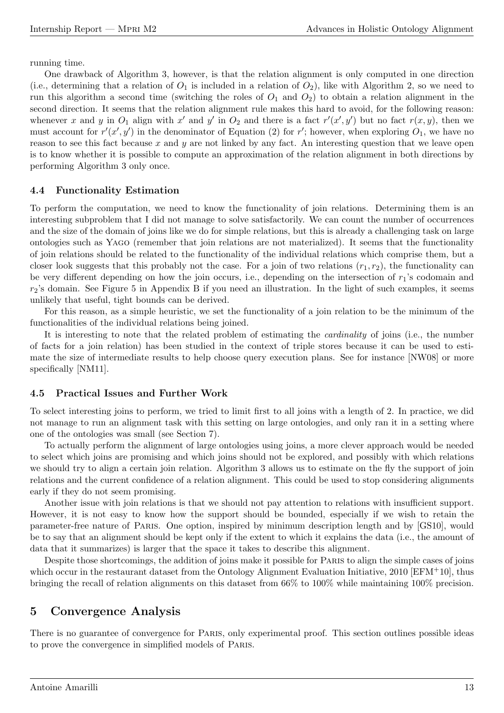running time.

One drawback of Algorithm 3, however, is that the relation alignment is only computed in one direction (i.e., determining that a relation of  $O_1$  is included in a relation of  $O_2$ ), like with Algorithm 2, so we need to run this algorithm a second time (switching the roles of  $O_1$  and  $O_2$ ) to obtain a relation alignment in the second direction. It seems that the relation alignment rule makes this hard to avoid, for the following reason: whenever x and y in  $O_1$  align with x' and y' in  $O_2$  and there is a fact  $r'(x', y')$  but no fact  $r(x, y)$ , then we must account for  $r'(x', y')$  in the denominator of Equation (2) for r'; however, when exploring  $O_1$ , we have no reason to see this fact because  $x$  and  $y$  are not linked by any fact. An interesting question that we leave open is to know whether it is possible to compute an approximation of the relation alignment in both directions by performing Algorithm 3 only once.

#### 4.4 Functionality Estimation

To perform the computation, we need to know the functionality of join relations. Determining them is an interesting subproblem that I did not manage to solve satisfactorily. We can count the number of occurrences and the size of the domain of joins like we do for simple relations, but this is already a challenging task on large ontologies such as Yago (remember that join relations are not materialized). It seems that the functionality of join relations should be related to the functionality of the individual relations which comprise them, but a closer look suggests that this probably not the case. For a join of two relations  $(r_1, r_2)$ , the functionality can be very different depending on how the join occurs, i.e., depending on the intersection of  $r_1$ 's codomain and  $r_2$ 's domain. See Figure 5 in Appendix B if you need an illustration. In the light of such examples, it seems unlikely that useful, tight bounds can be derived.

For this reason, as a simple heuristic, we set the functionality of a join relation to be the minimum of the functionalities of the individual relations being joined.

It is interesting to note that the related problem of estimating the cardinality of joins (i.e., the number of facts for a join relation) has been studied in the context of triple stores because it can be used to estimate the size of intermediate results to help choose query execution plans. See for instance [NW08] or more specifically [NM11].

### 4.5 Practical Issues and Further Work

To select interesting joins to perform, we tried to limit first to all joins with a length of 2. In practice, we did not manage to run an alignment task with this setting on large ontologies, and only ran it in a setting where one of the ontologies was small (see Section 7).

To actually perform the alignment of large ontologies using joins, a more clever approach would be needed to select which joins are promising and which joins should not be explored, and possibly with which relations we should try to align a certain join relation. Algorithm 3 allows us to estimate on the fly the support of join relations and the current confidence of a relation alignment. This could be used to stop considering alignments early if they do not seem promising.

Another issue with join relations is that we should not pay attention to relations with insufficient support. However, it is not easy to know how the support should be bounded, especially if we wish to retain the parameter-free nature of Paris. One option, inspired by minimum description length and by [GS10], would be to say that an alignment should be kept only if the extent to which it explains the data (i.e., the amount of data that it summarizes) is larger that the space it takes to describe this alignment.

Despite those shortcomings, the addition of joins make it possible for Paris to align the simple cases of joins which occur in the restaurant dataset from the Ontology Alignment Evaluation Initiative, 2010 [EFM+10], thus bringing the recall of relation alignments on this dataset from 66% to 100% while maintaining 100% precision.

# 5 Convergence Analysis

There is no guarantee of convergence for Paris, only experimental proof. This section outlines possible ideas to prove the convergence in simplified models of Paris.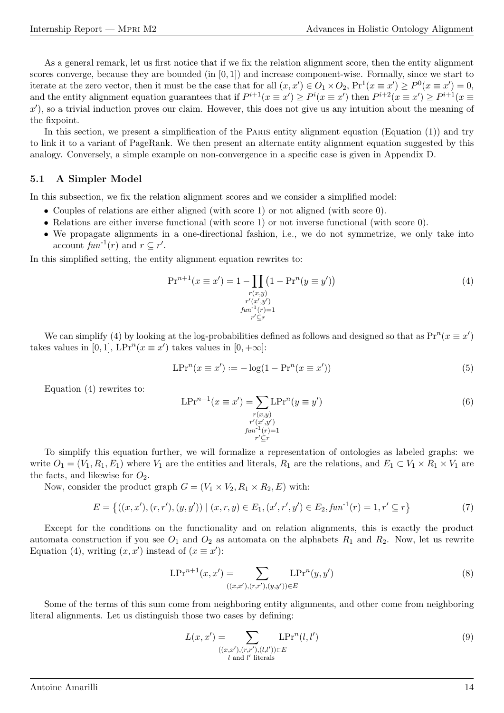As a general remark, let us first notice that if we fix the relation alignment score, then the entity alignment scores converge, because they are bounded (in [0, 1]) and increase component-wise. Formally, since we start to iterate at the zero vector, then it must be the case that for all  $(x, x') \in O_1 \times O_2$ ,  $Pr^1(x \equiv x') \ge P^0(x \equiv x') = 0$ , and the entity alignment equation guarantees that if  $P^{i+1}(x \equiv x') \ge P^i(x \equiv x')$  then  $P^{i+2}(x \equiv x') \ge P^{i+1}(x \equiv x')$  $x'$ ), so a trivial induction proves our claim. However, this does not give us any intuition about the meaning of the fixpoint.

In this section, we present a simplification of the PARIS entity alignment equation (Equation (1)) and try to link it to a variant of PageRank. We then present an alternate entity alignment equation suggested by this analogy. Conversely, a simple example on non-convergence in a specific case is given in Appendix D.

#### 5.1 A Simpler Model

In this subsection, we fix the relation alignment scores and we consider a simplified model:

- Couples of relations are either aligned (with score 1) or not aligned (with score 0).
- Relations are either inverse functional (with score 1) or not inverse functional (with score 0).
- We propagate alignments in a one-directional fashion, i.e., we do not symmetrize, we only take into account  $fun^{-1}(r)$  and  $r \subseteq r'$ .

In this simplified setting, the entity alignment equation rewrites to:

$$
\Pr^{n+1}(x \equiv x') = 1 - \prod_{\substack{r(x,y) \\ r'(x',y') \\ fun^{-1}(r) = 1}} (1 - \Pr^{n}(y \equiv y')) \tag{4}
$$

We can simplify (4) by looking at the log-probabilities defined as follows and designed so that as  $Pr^{n}(x \equiv x')$ takes values in [0, 1],  $LPr^n(x \equiv x')$  takes values in [0, + $\infty$ ]:

$$
LPr^{n}(x \equiv x') := -\log(1 - Pr^{n}(x \equiv x')) \tag{5}
$$

Equation (4) rewrites to:

$$
LPr^{n+1}(x \equiv x') = \sum_{\substack{r(x,y) \\ r'(x',y') \\ fun^{-1}(r)=1}} LPr^n(y \equiv y')
$$
\n(6)

To simplify this equation further, we will formalize a representation of ontologies as labeled graphs: we write  $O_1 = (V_1, R_1, E_1)$  where  $V_1$  are the entities and literals,  $R_1$  are the relations, and  $E_1 \subset V_1 \times R_1 \times V_1$  are the facts, and likewise for  $O_2$ .

Now, consider the product graph  $G = (V_1 \times V_2, R_1 \times R_2, E)$  with:

$$
E = \{ ((x, x'), (r, r'), (y, y')) \mid (x, r, y) \in E_1, (x', r', y') \in E_2, \text{fun}^{-1}(r) = 1, r' \subseteq r \}
$$
(7)

Except for the conditions on the functionality and on relation alignments, this is exactly the product automata construction if you see  $O_1$  and  $O_2$  as automata on the alphabets  $R_1$  and  $R_2$ . Now, let us rewrite Equation (4), writing  $(x, x')$  instead of  $(x \equiv x')$ :

$$
LPr^{n+1}(x, x') = \sum_{((x, x'), (r, r'), (y, y')) \in E} LPr^n(y, y')
$$
\n(8)

Some of the terms of this sum come from neighboring entity alignments, and other come from neighboring literal alignments. Let us distinguish those two cases by defining:

$$
L(x, x') = \sum_{\substack{((x, x'), (r, r'), (l, l')) \in E \\ l \text{ and } l' \text{ literals}}} \text{LPr}^n(l, l')
$$
\n
$$
(9)
$$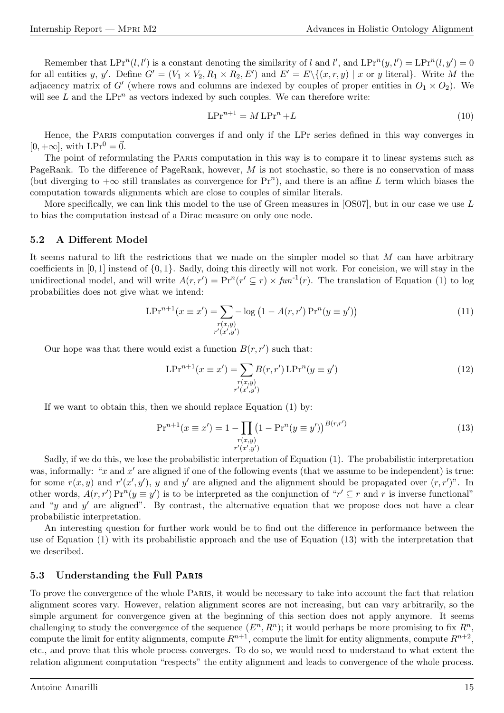Remember that  $LPr^n(l, l')$  is a constant denoting the similarity of l and l', and  $LPr^n(y, l') = LPr^n(l, y') = 0$ for all entities y, y'. Define  $G' = (V_1 \times V_2, R_1 \times R_2, E')$  and  $E' = E \setminus \{(x, r, y) \mid x \text{ or } y \text{ literal}\}.$  Write M the adjacency matrix of G' (where rows and columns are indexed by couples of proper entities in  $O_1 \times O_2$ ). We will see  $L$  and the  $LPr^n$  as vectors indexed by such couples. We can therefore write:

$$
LPr^{n+1} = M \, LPr^n + L \tag{10}
$$

Hence, the Paris computation converges if and only if the LPr series defined in this way converges in  $[0, +\infty]$ , with  $LPr^0 = \vec{0}$ .

The point of reformulating the Paris computation in this way is to compare it to linear systems such as PageRank. To the difference of PageRank, however, M is not stochastic, so there is no conservation of mass (but diverging to  $+\infty$  still translates as convergence for  $Pr^n$ ), and there is an affine L term which biases the computation towards alignments which are close to couples of similar literals.

More specifically, we can link this model to the use of Green measures in [OS07], but in our case we use L to bias the computation instead of a Dirac measure on only one node.

#### 5.2 A Different Model

It seems natural to lift the restrictions that we made on the simpler model so that  $M$  can have arbitrary coefficients in  $[0, 1]$  instead of  $\{0, 1\}$ . Sadly, doing this directly will not work. For concision, we will stay in the unidirectional model, and will write  $A(r, r') = \Pr^n(r' \subseteq r) \times fun^{-1}(r)$ . The translation of Equation (1) to log probabilities does not give what we intend:

$$
LPr^{n+1}(x \equiv x') = \sum_{\substack{r(x,y) \\ r'(x',y')}} -\log(1 - A(r,r') \Pr^n(y \equiv y')) \tag{11}
$$

Our hope was that there would exist a function  $B(r, r')$  such that:

$$
LPr^{n+1}(x \equiv x') = \sum_{\substack{r(x,y) \\ r'(x',y')}} B(r,r') LPr^n(y \equiv y')
$$
\n(12)

If we want to obtain this, then we should replace Equation (1) by:

$$
\Pr^{n+1}(x \equiv x') = 1 - \prod_{\substack{r(x,y) \\ r'(x',y')}} (1 - \Pr^{n}(y \equiv y'))^{B(r,r')}
$$
\n(13)

Sadly, if we do this, we lose the probabilistic interpretation of Equation (1). The probabilistic interpretation was, informally: " $x$  and  $x'$  are aligned if one of the following events (that we assume to be independent) is true: for some  $r(x, y)$  and  $r'(x', y')$ , y and y' are aligned and the alignment should be propagated over  $(r, r')$ ". In other words,  $A(r, r') \Pr^n(y \equiv y')$  is to be interpreted as the conjunction of " $r' \subseteq r$  and r is inverse functional" and "y and  $y'$  are aligned". By contrast, the alternative equation that we propose does not have a clear probabilistic interpretation.

An interesting question for further work would be to find out the difference in performance between the use of Equation (1) with its probabilistic approach and the use of Equation (13) with the interpretation that we described.

#### 5.3 Understanding the Full Paris

To prove the convergence of the whole Paris, it would be necessary to take into account the fact that relation alignment scores vary. However, relation alignment scores are not increasing, but can vary arbitrarily, so the simple argument for convergence given at the beginning of this section does not apply anymore. It seems challenging to study the convergence of the sequence  $(E<sup>n</sup>, R<sup>n</sup>)$ ; it would perhaps be more promising to fix  $R<sup>n</sup>$ , compute the limit for entity alignments, compute  $R^{n+1}$ , compute the limit for entity alignments, compute  $R^{n+2}$ , etc., and prove that this whole process converges. To do so, we would need to understand to what extent the relation alignment computation "respects" the entity alignment and leads to convergence of the whole process.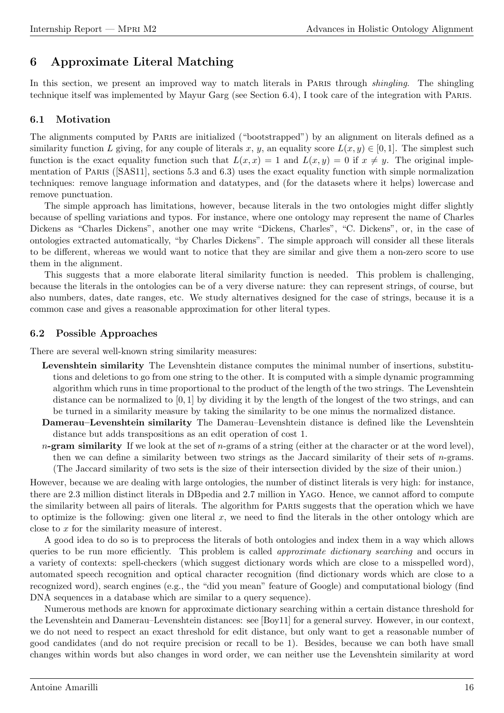# 6 Approximate Literal Matching

In this section, we present an improved way to match literals in PARIS through *shingling*. The shingling technique itself was implemented by Mayur Garg (see Section 6.4), I took care of the integration with Paris.

### 6.1 Motivation

The alignments computed by PARIS are initialized ("bootstrapped") by an alignment on literals defined as a similarity function L giving, for any couple of literals x, y, an equality score  $L(x, y) \in [0, 1]$ . The simplest such function is the exact equality function such that  $L(x, x) = 1$  and  $L(x, y) = 0$  if  $x \neq y$ . The original implementation of Paris ([SAS11], sections 5.3 and 6.3) uses the exact equality function with simple normalization techniques: remove language information and datatypes, and (for the datasets where it helps) lowercase and remove punctuation.

The simple approach has limitations, however, because literals in the two ontologies might differ slightly because of spelling variations and typos. For instance, where one ontology may represent the name of Charles Dickens as "Charles Dickens", another one may write "Dickens, Charles", "C. Dickens", or, in the case of ontologies extracted automatically, "by Charles Dickens". The simple approach will consider all these literals to be different, whereas we would want to notice that they are similar and give them a non-zero score to use them in the alignment.

This suggests that a more elaborate literal similarity function is needed. This problem is challenging, because the literals in the ontologies can be of a very diverse nature: they can represent strings, of course, but also numbers, dates, date ranges, etc. We study alternatives designed for the case of strings, because it is a common case and gives a reasonable approximation for other literal types.

### 6.2 Possible Approaches

There are several well-known string similarity measures:

- Levenshtein similarity The Levenshtein distance computes the minimal number of insertions, substitutions and deletions to go from one string to the other. It is computed with a simple dynamic programming algorithm which runs in time proportional to the product of the length of the two strings. The Levenshtein distance can be normalized to  $[0, 1]$  by dividing it by the length of the longest of the two strings, and can be turned in a similarity measure by taking the similarity to be one minus the normalized distance.
- Damerau–Levenshtein similarity The Damerau–Levenshtein distance is defined like the Levenshtein distance but adds transpositions as an edit operation of cost 1.
- $n$ -gram similarity If we look at the set of  $n$ -grams of a string (either at the character or at the word level), then we can define a similarity between two strings as the Jaccard similarity of their sets of  $n$ -grams. (The Jaccard similarity of two sets is the size of their intersection divided by the size of their union.)

However, because we are dealing with large ontologies, the number of distinct literals is very high: for instance, there are 2.3 million distinct literals in DBpedia and 2.7 million in Yago. Hence, we cannot afford to compute the similarity between all pairs of literals. The algorithm for Paris suggests that the operation which we have to optimize is the following: given one literal x, we need to find the literals in the other ontology which are close to x for the similarity measure of interest.

A good idea to do so is to preprocess the literals of both ontologies and index them in a way which allows queries to be run more efficiently. This problem is called *approximate dictionary searching* and occurs in a variety of contexts: spell-checkers (which suggest dictionary words which are close to a misspelled word), automated speech recognition and optical character recognition (find dictionary words which are close to a recognized word), search engines (e.g., the "did you mean" feature of Google) and computational biology (find DNA sequences in a database which are similar to a query sequence).

Numerous methods are known for approximate dictionary searching within a certain distance threshold for the Levenshtein and Damerau–Levenshtein distances: see [Boy11] for a general survey. However, in our context, we do not need to respect an exact threshold for edit distance, but only want to get a reasonable number of good candidates (and do not require precision or recall to be 1). Besides, because we can both have small changes within words but also changes in word order, we can neither use the Levenshtein similarity at word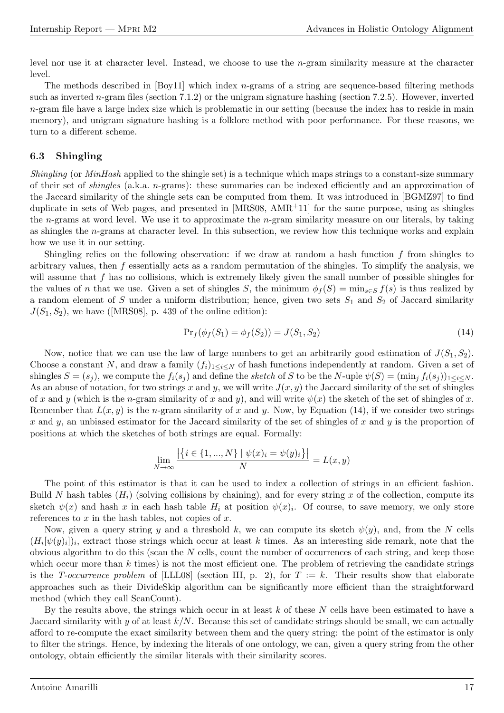level nor use it at character level. Instead, we choose to use the n-gram similarity measure at the character level.

The methods described in  $[Boy11]$  which index *n*-grams of a string are sequence-based filtering methods such as inverted n-gram files (section 7.1.2) or the unigram signature hashing (section 7.2.5). However, inverted  $n$ -gram file have a large index size which is problematic in our setting (because the index has to reside in main memory), and unigram signature hashing is a folklore method with poor performance. For these reasons, we turn to a different scheme.

#### 6.3 Shingling

Shingling (or *MinHash* applied to the shingle set) is a technique which maps strings to a constant-size summary of their set of shingles (a.k.a. n-grams): these summaries can be indexed efficiently and an approximation of the Jaccard similarity of the shingle sets can be computed from them. It was introduced in [BGMZ97] to find duplicate in sets of Web pages, and presented in  $[MRS08, AMR<sup>+</sup>11]$  for the same purpose, using as shingles the *n*-grams at word level. We use it to approximate the *n*-gram similarity measure on our literals, by taking as shingles the  $n$ -grams at character level. In this subsection, we review how this technique works and explain how we use it in our setting.

Shingling relies on the following observation: if we draw at random a hash function  $f$  from shingles to arbitrary values, then f essentially acts as a random permutation of the shingles. To simplify the analysis, we will assume that f has no collisions, which is extremely likely given the small number of possible shingles for the values of n that we use. Given a set of shingles S, the minimum  $\phi_f(S) = \min_{s \in S} f(s)$  is thus realized by a random element of S under a uniform distribution; hence, given two sets  $S_1$  and  $S_2$  of Jaccard similarity  $J(S_1, S_2)$ , we have ([MRS08], p. 439 of the online edition):

$$
Pr_f(\phi_f(S_1) = \phi_f(S_2)) = J(S_1, S_2)
$$
\n(14)

Now, notice that we can use the law of large numbers to get an arbitrarily good estimation of  $J(S_1, S_2)$ . Choose a constant N, and draw a family  $(f_i)_{1\leq i\leq N}$  of hash functions independently at random. Given a set of shingles  $S = (s_i)$ , we compute the  $f_i(s_i)$  and define the sketch of S to be the N-uple  $\psi(S) = (\min_i f_i(s_i))_{1 \leq i \leq N}$ . As an abuse of notation, for two strings x and y, we will write  $J(x, y)$  the Jaccard similarity of the set of shingles of x and y (which is the n-gram similarity of x and y), and will write  $\psi(x)$  the sketch of the set of shingles of x. Remember that  $L(x, y)$  is the *n*-gram similarity of x and y. Now, by Equation (14), if we consider two strings x and y, an unbiased estimator for the Jaccard similarity of the set of shingles of x and y is the proportion of positions at which the sketches of both strings are equal. Formally:

$$
\lim_{N \to \infty} \frac{|\{i \in \{1, ..., N\} \mid \psi(x)_i = \psi(y)_i\}|}{N} = L(x, y)
$$

The point of this estimator is that it can be used to index a collection of strings in an efficient fashion. Build N hash tables  $(H_i)$  (solving collisions by chaining), and for every string x of the collection, compute its sketch  $\psi(x)$  and hash x in each hash table  $H_i$  at position  $\psi(x)_i$ . Of course, to save memory, we only store references to  $x$  in the hash tables, not copies of  $x$ .

Now, given a query string y and a threshold k, we can compute its sketch  $\psi(y)$ , and, from the N cells  $(H_i[\psi(y)_i])_i$ , extract those strings which occur at least k times. As an interesting side remark, note that the obvious algorithm to do this (scan the  $N$  cells, count the number of occurrences of each string, and keep those which occur more than  $k$  times) is not the most efficient one. The problem of retrieving the candidate strings is the T-occurrence problem of [LLL08] (section III, p. 2), for  $T := k$ . Their results show that elaborate approaches such as their DivideSkip algorithm can be significantly more efficient than the straightforward method (which they call ScanCount).

By the results above, the strings which occur in at least  $k$  of these  $N$  cells have been estimated to have a Jaccard similarity with y of at least  $k/N$ . Because this set of candidate strings should be small, we can actually afford to re-compute the exact similarity between them and the query string: the point of the estimator is only to filter the strings. Hence, by indexing the literals of one ontology, we can, given a query string from the other ontology, obtain efficiently the similar literals with their similarity scores.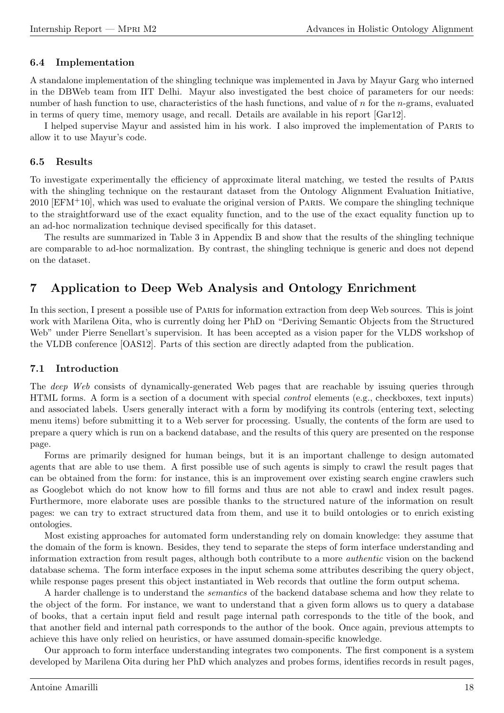### 6.4 Implementation

A standalone implementation of the shingling technique was implemented in Java by Mayur Garg who interned in the DBWeb team from IIT Delhi. Mayur also investigated the best choice of parameters for our needs: number of hash function to use, characteristics of the hash functions, and value of n for the n-grams, evaluated in terms of query time, memory usage, and recall. Details are available in his report [Gar12].

I helped supervise Mayur and assisted him in his work. I also improved the implementation of Paris to allow it to use Mayur's code.

### 6.5 Results

To investigate experimentally the efficiency of approximate literal matching, we tested the results of Paris with the shingling technique on the restaurant dataset from the Ontology Alignment Evaluation Initiative,  $2010$  [EFM<sup>+</sup>10], which was used to evaluate the original version of PARIS. We compare the shingling technique to the straightforward use of the exact equality function, and to the use of the exact equality function up to an ad-hoc normalization technique devised specifically for this dataset.

The results are summarized in Table 3 in Appendix B and show that the results of the shingling technique are comparable to ad-hoc normalization. By contrast, the shingling technique is generic and does not depend on the dataset.

# 7 Application to Deep Web Analysis and Ontology Enrichment

In this section, I present a possible use of Paris for information extraction from deep Web sources. This is joint work with Marilena Oita, who is currently doing her PhD on "Deriving Semantic Objects from the Structured Web" under Pierre Senellart's supervision. It has been accepted as a vision paper for the VLDS workshop of the VLDB conference [OAS12]. Parts of this section are directly adapted from the publication.

### 7.1 Introduction

The *deep* Web consists of dynamically-generated Web pages that are reachable by issuing queries through HTML forms. A form is a section of a document with special control elements (e.g., checkboxes, text inputs) and associated labels. Users generally interact with a form by modifying its controls (entering text, selecting menu items) before submitting it to a Web server for processing. Usually, the contents of the form are used to prepare a query which is run on a backend database, and the results of this query are presented on the response page.

Forms are primarily designed for human beings, but it is an important challenge to design automated agents that are able to use them. A first possible use of such agents is simply to crawl the result pages that can be obtained from the form: for instance, this is an improvement over existing search engine crawlers such as Googlebot which do not know how to fill forms and thus are not able to crawl and index result pages. Furthermore, more elaborate uses are possible thanks to the structured nature of the information on result pages: we can try to extract structured data from them, and use it to build ontologies or to enrich existing ontologies.

Most existing approaches for automated form understanding rely on domain knowledge: they assume that the domain of the form is known. Besides, they tend to separate the steps of form interface understanding and information extraction from result pages, although both contribute to a more authentic vision on the backend database schema. The form interface exposes in the input schema some attributes describing the query object, while response pages present this object instantiated in Web records that outline the form output schema.

A harder challenge is to understand the semantics of the backend database schema and how they relate to the object of the form. For instance, we want to understand that a given form allows us to query a database of books, that a certain input field and result page internal path corresponds to the title of the book, and that another field and internal path corresponds to the author of the book. Once again, previous attempts to achieve this have only relied on heuristics, or have assumed domain-specific knowledge.

Our approach to form interface understanding integrates two components. The first component is a system developed by Marilena Oita during her PhD which analyzes and probes forms, identifies records in result pages,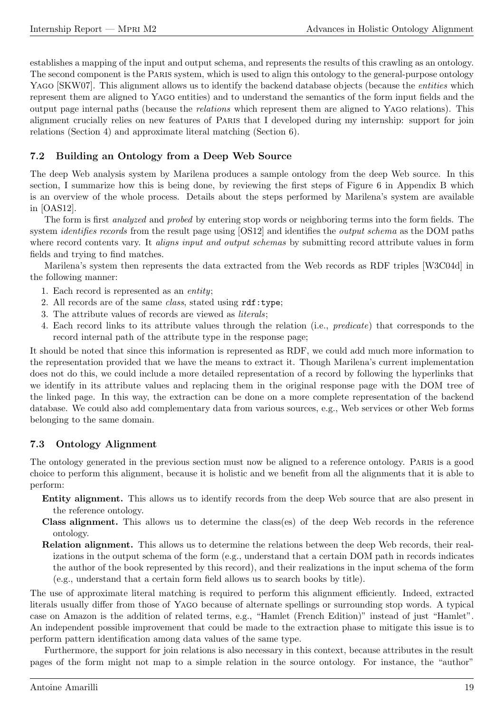establishes a mapping of the input and output schema, and represents the results of this crawling as an ontology. The second component is the Paris system, which is used to align this ontology to the general-purpose ontology YAGO [SKW07]. This alignment allows us to identify the backend database objects (because the *entities* which represent them are aligned to Yago entities) and to understand the semantics of the form input fields and the output page internal paths (because the relations which represent them are aligned to Yago relations). This alignment crucially relies on new features of Paris that I developed during my internship: support for join relations (Section 4) and approximate literal matching (Section 6).

### 7.2 Building an Ontology from a Deep Web Source

The deep Web analysis system by Marilena produces a sample ontology from the deep Web source. In this section, I summarize how this is being done, by reviewing the first steps of Figure 6 in Appendix B which is an overview of the whole process. Details about the steps performed by Marilena's system are available in [OAS12].

The form is first *analyzed* and *probed* by entering stop words or neighboring terms into the form fields. The system *identifies records* from the result page using [OS12] and identifies the *output schema* as the DOM paths where record contents vary. It *aligns input and output schemas* by submitting record attribute values in form fields and trying to find matches.

Marilena's system then represents the data extracted from the Web records as RDF triples [W3C04d] in the following manner:

- 1. Each record is represented as an entity;
- 2. All records are of the same class, stated using rdf:type;
- 3. The attribute values of records are viewed as literals;
- 4. Each record links to its attribute values through the relation (i.e., predicate) that corresponds to the record internal path of the attribute type in the response page;

It should be noted that since this information is represented as RDF, we could add much more information to the representation provided that we have the means to extract it. Though Marilena's current implementation does not do this, we could include a more detailed representation of a record by following the hyperlinks that we identify in its attribute values and replacing them in the original response page with the DOM tree of the linked page. In this way, the extraction can be done on a more complete representation of the backend database. We could also add complementary data from various sources, e.g., Web services or other Web forms belonging to the same domain.

### 7.3 Ontology Alignment

The ontology generated in the previous section must now be aligned to a reference ontology. Paris is a good choice to perform this alignment, because it is holistic and we benefit from all the alignments that it is able to perform:

- Entity alignment. This allows us to identify records from the deep Web source that are also present in the reference ontology.
- Class alignment. This allows us to determine the class(es) of the deep Web records in the reference ontology.
- Relation alignment. This allows us to determine the relations between the deep Web records, their realizations in the output schema of the form (e.g., understand that a certain DOM path in records indicates the author of the book represented by this record), and their realizations in the input schema of the form (e.g., understand that a certain form field allows us to search books by title).

The use of approximate literal matching is required to perform this alignment efficiently. Indeed, extracted literals usually differ from those of Yago because of alternate spellings or surrounding stop words. A typical case on Amazon is the addition of related terms, e.g., "Hamlet (French Edition)" instead of just "Hamlet". An independent possible improvement that could be made to the extraction phase to mitigate this issue is to perform pattern identification among data values of the same type.

Furthermore, the support for join relations is also necessary in this context, because attributes in the result pages of the form might not map to a simple relation in the source ontology. For instance, the "author"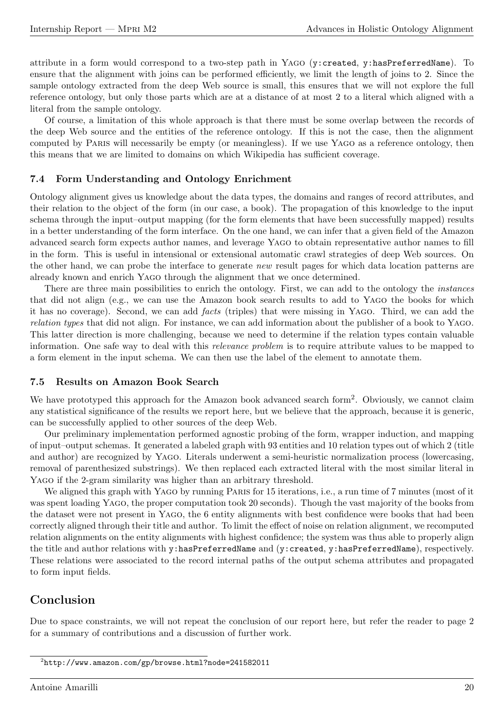attribute in a form would correspond to a two-step path in YAGO (y: created, y: hasPreferredName). To ensure that the alignment with joins can be performed efficiently, we limit the length of joins to 2. Since the sample ontology extracted from the deep Web source is small, this ensures that we will not explore the full reference ontology, but only those parts which are at a distance of at most 2 to a literal which aligned with a literal from the sample ontology.

Of course, a limitation of this whole approach is that there must be some overlap between the records of the deep Web source and the entities of the reference ontology. If this is not the case, then the alignment computed by Paris will necessarily be empty (or meaningless). If we use Yago as a reference ontology, then this means that we are limited to domains on which Wikipedia has sufficient coverage.

#### 7.4 Form Understanding and Ontology Enrichment

Ontology alignment gives us knowledge about the data types, the domains and ranges of record attributes, and their relation to the object of the form (in our case, a book). The propagation of this knowledge to the input schema through the input–output mapping (for the form elements that have been successfully mapped) results in a better understanding of the form interface. On the one hand, we can infer that a given field of the Amazon advanced search form expects author names, and leverage Yago to obtain representative author names to fill in the form. This is useful in intensional or extensional automatic crawl strategies of deep Web sources. On the other hand, we can probe the interface to generate new result pages for which data location patterns are already known and enrich Yago through the alignment that we once determined.

There are three main possibilities to enrich the ontology. First, we can add to the ontology the *instances* that did not align (e.g., we can use the Amazon book search results to add to Yago the books for which it has no coverage). Second, we can add facts (triples) that were missing in Yago. Third, we can add the relation types that did not align. For instance, we can add information about the publisher of a book to Yago. This latter direction is more challenging, because we need to determine if the relation types contain valuable information. One safe way to deal with this relevance problem is to require attribute values to be mapped to a form element in the input schema. We can then use the label of the element to annotate them.

#### 7.5 Results on Amazon Book Search

We have prototyped this approach for the Amazon book advanced search form<sup>2</sup>. Obviously, we cannot claim any statistical significance of the results we report here, but we believe that the approach, because it is generic, can be successfully applied to other sources of the deep Web.

Our preliminary implementation performed agnostic probing of the form, wrapper induction, and mapping of input–output schemas. It generated a labeled graph with 93 entities and 10 relation types out of which 2 (title and author) are recognized by Yago. Literals underwent a semi-heuristic normalization process (lowercasing, removal of parenthesized substrings). We then replaced each extracted literal with the most similar literal in YAGO if the 2-gram similarity was higher than an arbitrary threshold.

We aligned this graph with YAGO by running PARIS for 15 iterations, i.e., a run time of 7 minutes (most of it was spent loading YAGO, the proper computation took 20 seconds). Though the vast majority of the books from the dataset were not present in Yago, the 6 entity alignments with best confidence were books that had been correctly aligned through their title and author. To limit the effect of noise on relation alignment, we recomputed relation alignments on the entity alignments with highest confidence; the system was thus able to properly align the title and author relations with y:hasPreferredName and (y:created, y:hasPreferredName), respectively. These relations were associated to the record internal paths of the output schema attributes and propagated to form input fields.

# Conclusion

Due to space constraints, we will not repeat the conclusion of our report here, but refer the reader to page 2 for a summary of contributions and a discussion of further work.

<sup>2</sup>http://www.amazon.com/gp/browse.html?node=241582011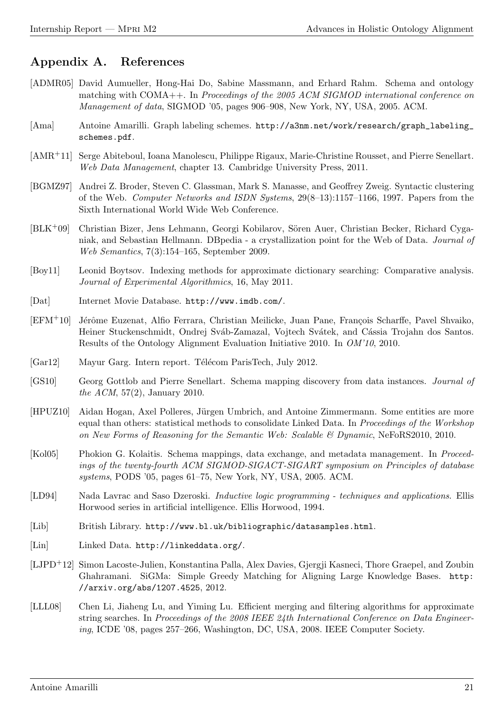# Appendix A. References

- [ADMR05] David Aumueller, Hong-Hai Do, Sabine Massmann, and Erhard Rahm. Schema and ontology matching with COMA++. In Proceedings of the 2005 ACM SIGMOD international conference on Management of data, SIGMOD '05, pages 906–908, New York, NY, USA, 2005. ACM.
- [Ama] Antoine Amarilli. Graph labeling schemes. http://a3nm.net/work/research/graph\_labeling\_ schemes.pdf.
- [AMR+11] Serge Abiteboul, Ioana Manolescu, Philippe Rigaux, Marie-Christine Rousset, and Pierre Senellart. Web Data Management, chapter 13. Cambridge University Press, 2011.
- [BGMZ97] Andrei Z. Broder, Steven C. Glassman, Mark S. Manasse, and Geoffrey Zweig. Syntactic clustering of the Web. Computer Networks and ISDN Systems, 29(8–13):1157–1166, 1997. Papers from the Sixth International World Wide Web Conference.
- $[BLK^+09]$  Christian Bizer, Jens Lehmann, Georgi Kobilarov, Sören Auer, Christian Becker, Richard Cyganiak, and Sebastian Hellmann. DBpedia - a crystallization point for the Web of Data. Journal of Web Semantics, 7(3):154–165, September 2009.
- [Boy11] Leonid Boytsov. Indexing methods for approximate dictionary searching: Comparative analysis. Journal of Experimental Algorithmics, 16, May 2011.
- [Dat] Internet Movie Database. http://www.imdb.com/.
- [EFM<sup>+</sup>10] Jérôme Euzenat, Alfio Ferrara, Christian Meilicke, Juan Pane, François Scharffe, Pavel Shvaiko, Heiner Stuckenschmidt, Ondrej Sváb-Zamazal, Vojtech Svátek, and Cássia Trojahn dos Santos. Results of the Ontology Alignment Evaluation Initiative 2010. In OM'10, 2010.
- [Gar12] Mayur Garg. Intern report. Télécom ParisTech, July 2012.
- [GS10] Georg Gottlob and Pierre Senellart. Schema mapping discovery from data instances. Journal of the ACM, 57(2), January 2010.
- [HPUZ10] Aidan Hogan, Axel Polleres, Jürgen Umbrich, and Antoine Zimmermann. Some entities are more equal than others: statistical methods to consolidate Linked Data. In Proceedings of the Workshop on New Forms of Reasoning for the Semantic Web: Scalable & Dynamic, NeFoRS2010, 2010.
- [Kol05] Phokion G. Kolaitis. Schema mappings, data exchange, and metadata management. In Proceedings of the twenty-fourth ACM SIGMOD-SIGACT-SIGART symposium on Principles of database systems, PODS '05, pages 61–75, New York, NY, USA, 2005. ACM.
- [LD94] Nada Lavrac and Saso Dzeroski. Inductive logic programming techniques and applications. Ellis Horwood series in artificial intelligence. Ellis Horwood, 1994.
- [Lib] British Library. http://www.bl.uk/bibliographic/datasamples.html.
- [Lin] Linked Data. http://linkeddata.org/.
- [LJPD+12] Simon Lacoste-Julien, Konstantina Palla, Alex Davies, Gjergji Kasneci, Thore Graepel, and Zoubin Ghahramani. SiGMa: Simple Greedy Matching for Aligning Large Knowledge Bases. http: //arxiv.org/abs/1207.4525, 2012.
- [LLL08] Chen Li, Jiaheng Lu, and Yiming Lu. Efficient merging and filtering algorithms for approximate string searches. In Proceedings of the 2008 IEEE 24th International Conference on Data Engineering, ICDE '08, pages 257–266, Washington, DC, USA, 2008. IEEE Computer Society.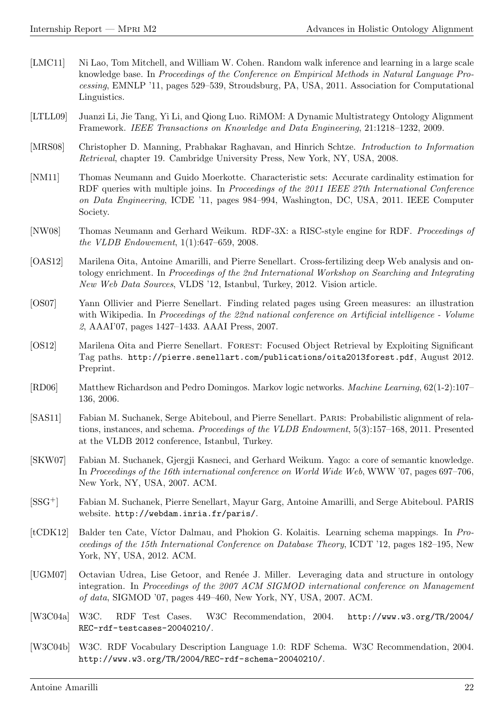- [LMC11] Ni Lao, Tom Mitchell, and William W. Cohen. Random walk inference and learning in a large scale knowledge base. In Proceedings of the Conference on Empirical Methods in Natural Language Processing, EMNLP '11, pages 529–539, Stroudsburg, PA, USA, 2011. Association for Computational Linguistics.
- [LTLL09] Juanzi Li, Jie Tang, Yi Li, and Qiong Luo. RiMOM: A Dynamic Multistrategy Ontology Alignment Framework. IEEE Transactions on Knowledge and Data Engineering, 21:1218–1232, 2009.
- [MRS08] Christopher D. Manning, Prabhakar Raghavan, and Hinrich Schtze. Introduction to Information Retrieval, chapter 19. Cambridge University Press, New York, NY, USA, 2008.
- [NM11] Thomas Neumann and Guido Moerkotte. Characteristic sets: Accurate cardinality estimation for RDF queries with multiple joins. In *Proceedings of the 2011 IEEE 27th International Conference* on Data Engineering, ICDE '11, pages 984–994, Washington, DC, USA, 2011. IEEE Computer Society.
- [NW08] Thomas Neumann and Gerhard Weikum. RDF-3X: a RISC-style engine for RDF. Proceedings of the VLDB Endowement, 1(1):647–659, 2008.
- [OAS12] Marilena Oita, Antoine Amarilli, and Pierre Senellart. Cross-fertilizing deep Web analysis and ontology enrichment. In Proceedings of the 2nd International Workshop on Searching and Integrating New Web Data Sources, VLDS '12, Istanbul, Turkey, 2012. Vision article.
- [OS07] Yann Ollivier and Pierre Senellart. Finding related pages using Green measures: an illustration with Wikipedia. In Proceedings of the 22nd national conference on Artificial intelligence - Volume 2, AAAI'07, pages 1427–1433. AAAI Press, 2007.
- [OS12] Marilena Oita and Pierre Senellart. FOREST: Focused Object Retrieval by Exploiting Significant Tag paths. http://pierre.senellart.com/publications/oita2013forest.pdf, August 2012. Preprint.
- [RD06] Matthew Richardson and Pedro Domingos. Markov logic networks. Machine Learning, 62(1-2):107– 136, 2006.
- [SAS11] Fabian M. Suchanek, Serge Abiteboul, and Pierre Senellart. Paris: Probabilistic alignment of relations, instances, and schema. Proceedings of the VLDB Endowment, 5(3):157–168, 2011. Presented at the VLDB 2012 conference, Istanbul, Turkey.
- [SKW07] Fabian M. Suchanek, Gjergji Kasneci, and Gerhard Weikum. Yago: a core of semantic knowledge. In Proceedings of the 16th international conference on World Wide Web, WWW '07, pages 697–706, New York, NY, USA, 2007. ACM.
- [SSG+] Fabian M. Suchanek, Pierre Senellart, Mayur Garg, Antoine Amarilli, and Serge Abiteboul. PARIS website. http://webdam.inria.fr/paris/.
- [tCDK12] Balder ten Cate, V´ıctor Dalmau, and Phokion G. Kolaitis. Learning schema mappings. In Proceedings of the 15th International Conference on Database Theory, ICDT '12, pages 182–195, New York, NY, USA, 2012. ACM.
- [UGM07] Octavian Udrea, Lise Getoor, and Renée J. Miller. Leveraging data and structure in ontology integration. In Proceedings of the 2007 ACM SIGMOD international conference on Management of data, SIGMOD '07, pages 449–460, New York, NY, USA, 2007. ACM.
- [W3C04a] W3C. RDF Test Cases. W3C Recommendation, 2004. http://www.w3.org/TR/2004/ REC-rdf-testcases-20040210/.
- [W3C04b] W3C. RDF Vocabulary Description Language 1.0: RDF Schema. W3C Recommendation, 2004. http://www.w3.org/TR/2004/REC-rdf-schema-20040210/.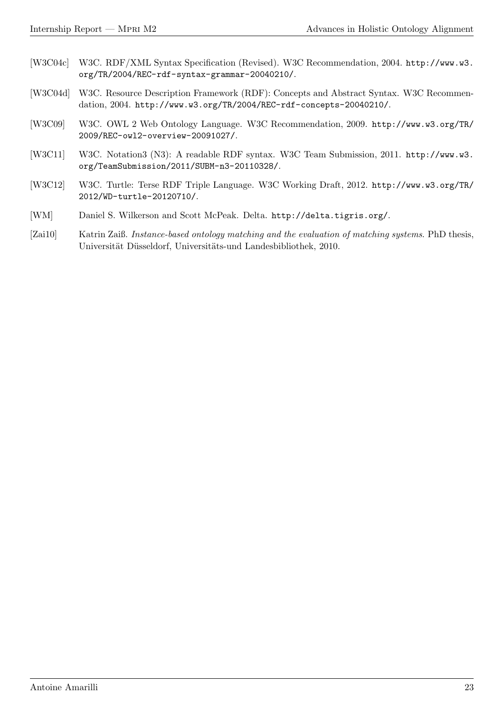- [W3C04c] W3C. RDF/XML Syntax Specification (Revised). W3C Recommendation, 2004. http://www.w3. org/TR/2004/REC-rdf-syntax-grammar-20040210/.
- [W3C04d] W3C. Resource Description Framework (RDF): Concepts and Abstract Syntax. W3C Recommendation, 2004. http://www.w3.org/TR/2004/REC-rdf-concepts-20040210/.
- [W3C09] W3C. OWL 2 Web Ontology Language. W3C Recommendation, 2009. http://www.w3.org/TR/ 2009/REC-owl2-overview-20091027/.
- [W3C11] W3C. Notation3 (N3): A readable RDF syntax. W3C Team Submission, 2011. http://www.w3. org/TeamSubmission/2011/SUBM-n3-20110328/.
- [W3C12] W3C. Turtle: Terse RDF Triple Language. W3C Working Draft, 2012. http://www.w3.org/TR/ 2012/WD-turtle-20120710/.
- [WM] Daniel S. Wilkerson and Scott McPeak. Delta. http://delta.tigris.org/.
- [Zai10] Katrin Zaiß. Instance-based ontology matching and the evaluation of matching systems. PhD thesis, Universität Düsseldorf, Universitäts-und Landesbibliothek, 2010.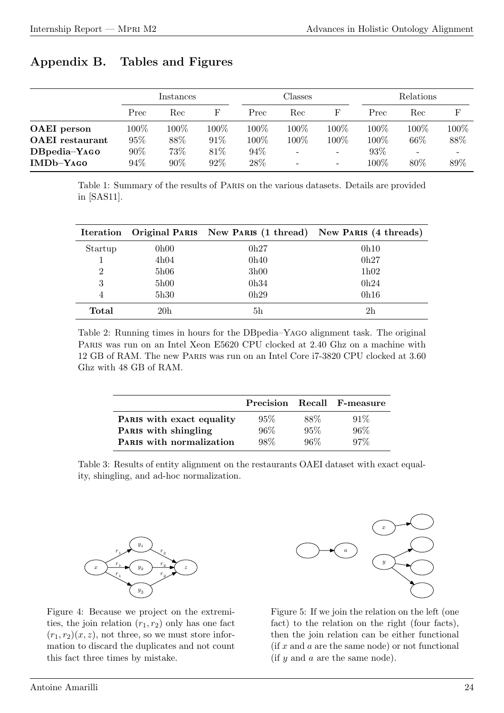# Appendix B. Tables and Figures

|                        | Instances |         |         | Classes |      |       | <b>Relations</b> |         |      |
|------------------------|-----------|---------|---------|---------|------|-------|------------------|---------|------|
|                        | Prec      | Rec     | F       | Prec    | Rec  |       | Prec             | Rec     |      |
| <b>OAEI</b> person     | $100\%$   | $100\%$ | $100\%$ | 100%    | 100% | 100\% | 100\%            | $100\%$ | 100% |
| <b>OAEI</b> restaurant | 95%       | 88%     | 91%     | 100%    | 100% | 100%  | 100\%            | 66%     | 88%  |
| DBpedia-YAGO           | 90%       | 73%     | 81\%    | 94%     |      | -     | 93\%             |         |      |
| $IMDb-YAGO$            | 94%       | 90%     | $92\%$  | 28%     |      |       | $100\%$          | 80%     | 89%  |

Table 1: Summary of the results of Paris on the various datasets. Details are provided in [SAS11].

| Iteration |                 |                | Original PARIS New PARIS (1 thread) New PARIS (4 threads) |
|-----------|-----------------|----------------|-----------------------------------------------------------|
| Startup   | 0h00            | 0h27           | 0h10                                                      |
|           | 4h04            | 0h40           | 0h27                                                      |
| 2         | 5h06            | 3h00           | 1h02                                                      |
| 3         | 5h00            | 0h34           | 0h24                                                      |
| 4         | 5h30            | 0h29           | 0h16                                                      |
| Total     | 20 <sub>h</sub> | 5 <sub>h</sub> | 2h                                                        |

Table 2: Running times in hours for the DBpedia–Yago alignment task. The original Paris was run on an Intel Xeon E5620 CPU clocked at 2.40 Ghz on a machine with 12 GB of RAM. The new Paris was run on an Intel Core i7-3820 CPU clocked at 3.60 Ghz with 48 GB of RAM.

|                                 |        |      | Precision Recall F-measure |
|---------------------------------|--------|------|----------------------------|
| PARIS with exact equality       | 95%    | 88\% | $91\%$                     |
| PARIS with shingling            | 96%    | 95%  | 96%                        |
| <b>PARIS</b> with normalization | $98\%$ | 96%  | $97\%$                     |

Table 3: Results of entity alignment on the restaurants OAEI dataset with exact equality, shingling, and ad-hoc normalization.



Figure 4: Because we project on the extremities, the join relation  $(r_1, r_2)$  only has one fact  $(r_1, r_2)(x, z)$ , not three, so we must store information to discard the duplicates and not count this fact three times by mistake.



Figure 5: If we join the relation on the left (one fact) to the relation on the right (four facts), then the join relation can be either functional  $(f x and a are the same node)$  or not functional  $(f \, y \, \text{and} \, a \, \text{are the same node}).$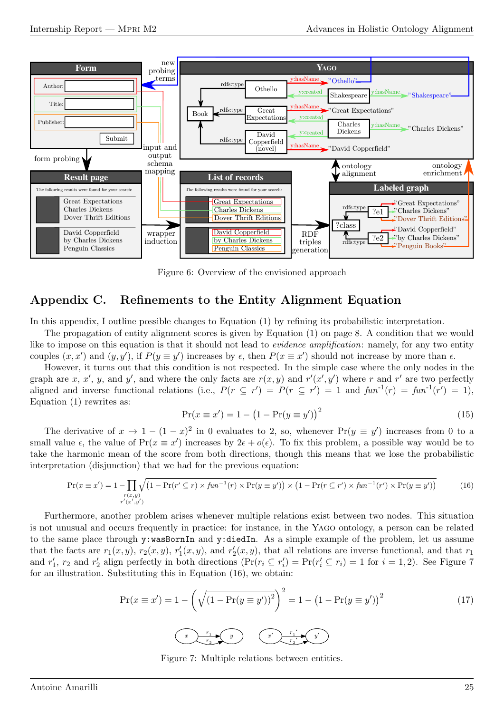

Figure 6: Overview of the envisioned approach

# Appendix C. Refinements to the Entity Alignment Equation

In this appendix, I outline possible changes to Equation (1) by refining its probabilistic interpretation.

The propagation of entity alignment scores is given by Equation (1) on page 8. A condition that we would like to impose on this equation is that it should not lead to *evidence amplification*: namely, for any two entity couples  $(x, x')$  and  $(y, y')$ , if  $P(y \equiv y')$  increases by  $\epsilon$ , then  $P(x \equiv x')$  should not increase by more than  $\epsilon$ .

However, it turns out that this condition is not respected. In the simple case where the only nodes in the graph are x, x', y, and y', and where the only facts are  $r(x, y)$  and  $r'(x', y')$  where r and r' are two perfectly aligned and inverse functional relations (i.e.,  $P(r \subseteq r') = P(r \subseteq r') = 1$  and  $fun^{-1}(r) = fun^{-1}(r') = 1$ ), Equation (1) rewrites as:

$$
Pr(x \equiv x') = 1 - (1 - Pr(y \equiv y'))^{2}
$$
\n(15)

The derivative of  $x \mapsto 1 - (1 - x)^2$  in 0 evaluates to 2, so, whenever  $Pr(y \equiv y')$  increases from 0 to a small value  $\epsilon$ , the value of Pr( $x \equiv x'$ ) increases by  $2\epsilon + o(\epsilon)$ . To fix this problem, a possible way would be to take the harmonic mean of the score from both directions, though this means that we lose the probabilistic interpretation (disjunction) that we had for the previous equation:

$$
\Pr(x \equiv x') = 1 - \prod_{\substack{r(x,y) \\ r'(x',y')}} \sqrt{\left(1 - \Pr(r' \subseteq r) \times fun^{-1}(r) \times \Pr(y \equiv y')\right) \times \left(1 - \Pr(r \subseteq r') \times fun^{-1}(r') \times \Pr(y \equiv y')\right)}\tag{16}
$$

Furthermore, another problem arises whenever multiple relations exist between two nodes. This situation is not unusual and occurs frequently in practice: for instance, in the Yago ontology, a person can be related to the same place through y:wasBornIn and y:diedIn. As a simple example of the problem, let us assume that the facts are  $r_1(x, y)$ ,  $r_2(x, y)$ ,  $r'_1(x, y)$ , and  $r'_2(x, y)$ , that all relations are inverse functional, and that  $r_1$ and  $r'_1$ ,  $r_2$  and  $r'_2$  align perfectly in both directions  $(\Pr(r_i \subseteq r'_i) = \Pr(r'_i \subseteq r_i) = 1$  for  $i = 1, 2)$ . See Figure 7 for an illustration. Substituting this in Equation (16), we obtain:

$$
\Pr(x \equiv x') = 1 - \left(\sqrt{(1 - \Pr(y \equiv y'))^2}\right)^2 = 1 - \left(1 - \Pr(y \equiv y')\right)^2 \tag{17}
$$

Figure 7: Multiple relations between entities.